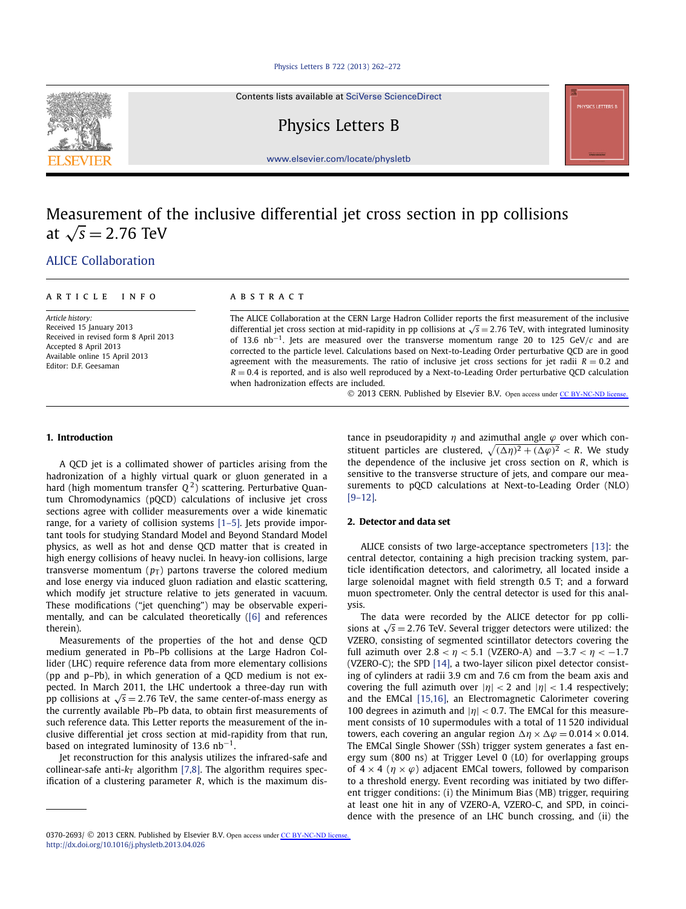Contents lists available at [SciVerse ScienceDirect](http://www.ScienceDirect.com/)

Physics Letters B



# Measurement of the inclusive differential jet cross section in pp collisions at  $\sqrt{s}$  = 2.76 TeV

## [.ALICE Collaboration](#page-6-0)

## article info abstract

*Article history:* Received 15 January 2013 Received in revised form 8 April 2013 Accepted 8 April 2013 Available online 15 April 2013 Editor: D.F. Geesaman

The ALICE Collaboration at the CERN Large Hadron Collider reports the first measurement of the inclusive differential jet cross section at mid-rapidity in pp collisions at  $\sqrt{s}$  = 2.76 TeV, with integrated luminosity of 13.6 nb<sup>−</sup>1. Jets are measured over the transverse momentum range 20 to 125 GeV*/c* and are corrected to the particle level. Calculations based on Next-to-Leading Order perturbative QCD are in good agreement with the measurements. The ratio of inclusive jet cross sections for jet radii  $R = 0.2$  and *R* = 0*.*4 is reported, and is also well reproduced by a Next-to-Leading Order perturbative QCD calculation when hadronization effects are included.

© 2013 CERN. Published by Elsevier B.V. Open access under [CC BY-NC-ND license.](http://creativecommons.org/licenses/by-nc-nd/4.0/)

## **1. Introduction**

A QCD jet is a collimated shower of particles arising from the hadronization of a highly virtual quark or gluon generated in a hard (high momentum transfer  $Q^2$ ) scattering. Perturbative Quantum Chromodynamics (pQCD) calculations of inclusive jet cross sections agree with collider measurements over a wide kinematic range, for a variety of collision systems [\[1–5\].](#page-5-0) Jets provide important tools for studying Standard Model and Beyond Standard Model physics, as well as hot and dense QCD matter that is created in high energy collisions of heavy nuclei. In heavy-ion collisions, large transverse momentum  $(p_T)$  partons traverse the colored medium and lose energy via induced gluon radiation and elastic scattering, which modify jet structure relative to jets generated in vacuum. These modifications ("jet quenching") may be observable experimentally, and can be calculated theoretically [\(\[6\]](#page-5-0) and references therein).

Measurements of the properties of the hot and dense QCD medium generated in Pb–Pb collisions at the Large Hadron Collider (LHC) require reference data from more elementary collisions (pp and p–Pb), in which generation of a QCD medium is not expected. In March 2011, the LHC undertook a three-day run with pp collisions at  $\sqrt{s}$  = 2.76 TeV, the same center-of-mass energy as the currently available Pb–Pb data, to obtain first measurements of such reference data. This Letter reports the measurement of the inclusive differential jet cross section at mid-rapidity from that run, based on integrated luminosity of 13.6 nb<sup>-1</sup>.

Jet reconstruction for this analysis utilizes the infrared-safe and collinear-safe anti- $k<sub>T</sub>$  algorithm [\[7,8\].](#page-5-0) The algorithm requires specification of a clustering parameter *R*, which is the maximum dis-

## **2. Detector and data set**

ALICE consists of two large-acceptance spectrometers [\[13\]:](#page-6-0) the central detector, containing a high precision tracking system, particle identification detectors, and calorimetry, all located inside a large solenoidal magnet with field strength 0.5 T; and a forward muon spectrometer. Only the central detector is used for this analysis.

The data were recorded by the ALICE detector for pp collisions at  $\sqrt{s}$  = 2.76 TeV. Several trigger detectors were utilized: the VZERO, consisting of segmented scintillator detectors covering the full azimuth over  $2.8 < \eta < 5.1$  (VZERO-A) and  $-3.7 < \eta < -1.7$ (VZERO-C); the SPD [\[14\],](#page-6-0) a two-layer silicon pixel detector consisting of cylinders at radii 3.9 cm and 7.6 cm from the beam axis and covering the full azimuth over  $|\eta| < 2$  and  $|\eta| < 1.4$  respectively; and the EMCal [\[15,16\],](#page-6-0) an Electromagnetic Calorimeter covering 100 degrees in azimuth and |*η*| *<* <sup>0</sup>*.*7. The EMCal for this measurement consists of 10 supermodules with a total of 11 520 individual towers, each covering an angular region  $\Delta \eta \times \Delta \varphi = 0.014 \times 0.014$ . The EMCal Single Shower (SSh) trigger system generates a fast energy sum (800 ns) at Trigger Level 0 (L0) for overlapping groups of  $4 \times 4$  ( $\eta \times \varphi$ ) adjacent EMCal towers, followed by comparison to a threshold energy. Event recording was initiated by two different trigger conditions: (i) the Minimum Bias (MB) trigger, requiring at least one hit in any of VZERO-A, VZERO-C, and SPD, in coincidence with the presence of an LHC bunch crossing, and (ii) the



tance in pseudorapidity  $\eta$  and azimuthal angle  $\varphi$  over which constituent particles are clustered,  $\sqrt{(\Delta \eta)^2 + (\Delta \varphi)^2} < R$ . We study the dependence of the inclusive jet cross section on *R*, which is sensitive to the transverse structure of jets, and compare our measurements to pQCD calculations at Next-to-Leading Order (NLO) [\[9–12\].](#page-6-0)

<sup>0370-2693/ © 2013</sup> CERN. Published by Elsevier B.V. Open access under [CC BY-NC-ND license.](http://creativecommons.org/licenses/by-nc-nd/4.0/) <http://dx.doi.org/10.1016/j.physletb.2013.04.026>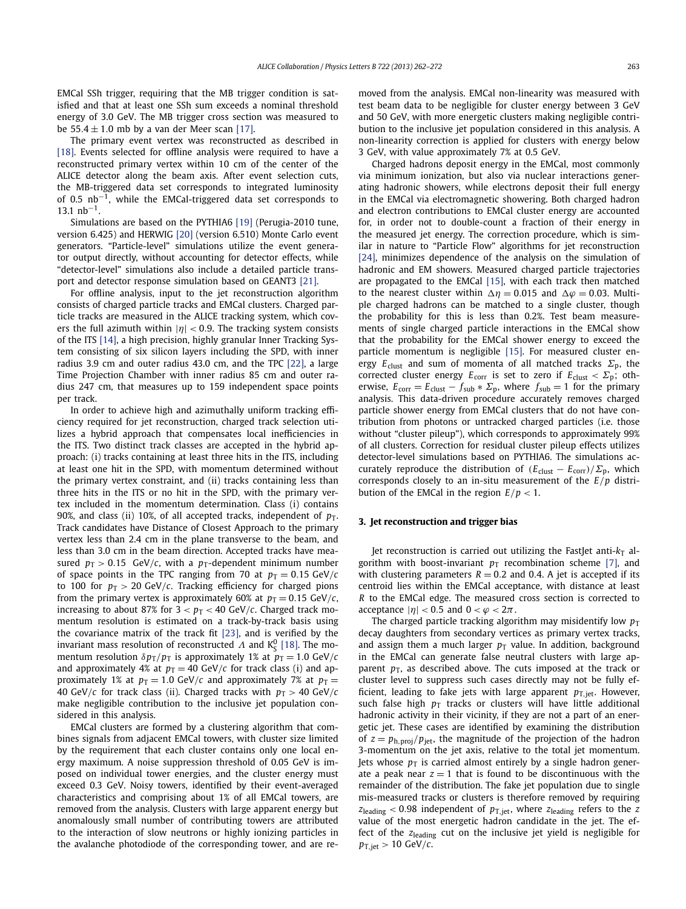EMCal SSh trigger, requiring that the MB trigger condition is satisfied and that at least one SSh sum exceeds a nominal threshold energy of 3.0 GeV. The MB trigger cross section was measured to be  $55.4 \pm 1.0$  mb by a van der Meer scan [\[17\].](#page-6-0)

The primary event vertex was reconstructed as described in [\[18\].](#page-6-0) Events selected for offline analysis were required to have a reconstructed primary vertex within 10 cm of the center of the ALICE detector along the beam axis. After event selection cuts, the MB-triggered data set corresponds to integrated luminosity of 0.5 nb<sup>−</sup>1, while the EMCal-triggered data set corresponds to  $13.1$  nb<sup>-1</sup>.

Simulations are based on the PYTHIA6 [\[19\]](#page-6-0) (Perugia-2010 tune, version 6.425) and HERWIG [\[20\]](#page-6-0) (version 6.510) Monte Carlo event generators. "Particle-level" simulations utilize the event generator output directly, without accounting for detector effects, while "detector-level" simulations also include a detailed particle transport and detector response simulation based on GEANT3 [\[21\].](#page-6-0)

For offline analysis, input to the jet reconstruction algorithm consists of charged particle tracks and EMCal clusters. Charged particle tracks are measured in the ALICE tracking system, which covers the full azimuth within |*η*| *<* <sup>0</sup>*.*9. The tracking system consists of the ITS [\[14\],](#page-6-0) a high precision, highly granular Inner Tracking System consisting of six silicon layers including the SPD, with inner radius 3.9 cm and outer radius 43.0 cm, and the TPC [\[22\],](#page-6-0) a large Time Projection Chamber with inner radius 85 cm and outer radius 247 cm, that measures up to 159 independent space points per track.

In order to achieve high and azimuthally uniform tracking efficiency required for jet reconstruction, charged track selection utilizes a hybrid approach that compensates local inefficiencies in the ITS. Two distinct track classes are accepted in the hybrid approach: (i) tracks containing at least three hits in the ITS, including at least one hit in the SPD, with momentum determined without the primary vertex constraint, and (ii) tracks containing less than three hits in the ITS or no hit in the SPD, with the primary vertex included in the momentum determination. Class (i) contains 90%, and class (ii) 10%, of all accepted tracks, independent of  $p_T$ . Track candidates have Distance of Closest Approach to the primary vertex less than 2.4 cm in the plane transverse to the beam, and less than 3.0 cm in the beam direction. Accepted tracks have measured  $p_T > 0.15$  GeV/*c*, with a  $p_T$ -dependent minimum number of space points in the TPC ranging from 70 at  $p_T = 0.15 \text{ GeV}/c$ to 100 for  $p_T > 20$  GeV/*c*. Tracking efficiency for charged pions from the primary vertex is approximately 60% at  $p_T = 0.15$  GeV/*c*, increasing to about 87% for  $3 < p_T < 40$  GeV/*c*. Charged track momentum resolution is estimated on a track-by-track basis using the covariance matrix of the track fit [\[23\],](#page-6-0) and is verified by the invariant mass resolution of reconstructed  $\varLambda$  and K $^0_{\mathsf{S}}$  [\[18\].](#page-6-0) The momentum resolution  $\delta p_T / p_T$  is approximately 1% at  $p_T = 1.0$  GeV/*c* and approximately 4% at  $p_T = 40$  GeV/*c* for track class (i) and approximately 1% at  $p_T = 1.0$  GeV/*c* and approximately 7% at  $p_T =$ 40 GeV/*c* for track class (ii). Charged tracks with  $p_T > 40$  GeV/*c* make negligible contribution to the inclusive jet population considered in this analysis.

EMCal clusters are formed by a clustering algorithm that combines signals from adjacent EMCal towers, with cluster size limited by the requirement that each cluster contains only one local energy maximum. A noise suppression threshold of 0.05 GeV is imposed on individual tower energies, and the cluster energy must exceed 0.3 GeV. Noisy towers, identified by their event-averaged characteristics and comprising about 1% of all EMCal towers, are removed from the analysis. Clusters with large apparent energy but anomalously small number of contributing towers are attributed to the interaction of slow neutrons or highly ionizing particles in the avalanche photodiode of the corresponding tower, and are removed from the analysis. EMCal non-linearity was measured with test beam data to be negligible for cluster energy between 3 GeV and 50 GeV, with more energetic clusters making negligible contribution to the inclusive jet population considered in this analysis. A non-linearity correction is applied for clusters with energy below 3 GeV, with value approximately 7% at 0.5 GeV.

Charged hadrons deposit energy in the EMCal, most commonly via minimum ionization, but also via nuclear interactions generating hadronic showers, while electrons deposit their full energy in the EMCal via electromagnetic showering. Both charged hadron and electron contributions to EMCal cluster energy are accounted for, in order not to double-count a fraction of their energy in the measured jet energy. The correction procedure, which is similar in nature to "Particle Flow" algorithms for jet reconstruction [\[24\],](#page-6-0) minimizes dependence of the analysis on the simulation of hadronic and EM showers. Measured charged particle trajectories are propagated to the EMCal [\[15\],](#page-6-0) with each track then matched to the nearest cluster within  $\Delta \eta = 0.015$  and  $\Delta \varphi = 0.03$ . Multiple charged hadrons can be matched to a single cluster, though the probability for this is less than 0.2%. Test beam measurements of single charged particle interactions in the EMCal show that the probability for the EMCal shower energy to exceed the particle momentum is negligible [\[15\].](#page-6-0) For measured cluster energy  $E_{\text{clust}}$  and sum of momenta of all matched tracks  $\Sigma_{\text{p}}$ , the corrected cluster energy  $E_{\text{corr}}$  is set to zero if  $E_{\text{clust}} < \Sigma_p$ ; otherwise,  $E_{\text{corr}} = E_{\text{clust}} - f_{\text{sub}} * \Sigma_{\text{p}}$ , where  $f_{\text{sub}} = 1$  for the primary analysis. This data-driven procedure accurately removes charged particle shower energy from EMCal clusters that do not have contribution from photons or untracked charged particles (i.e. those without "cluster pileup"), which corresponds to approximately 99% of all clusters. Correction for residual cluster pileup effects utilizes detector-level simulations based on PYTHIA6. The simulations accurately reproduce the distribution of  $(E_{\text{clust}} - E_{\text{corr}})/\Sigma_p$ , which corresponds closely to an in-situ measurement of the *E/p* distribution of the EMCal in the region  $E/p < 1$ .

## **3. Jet reconstruction and trigger bias**

Jet reconstruction is carried out utilizing the FastJet anti- $k<sub>T</sub>$  algorithm with boost-invariant  $p_T$  recombination scheme [\[7\],](#page-5-0) and with clustering parameters  $R = 0.2$  and 0.4. A jet is accepted if its centroid lies within the EMCal acceptance, with distance at least *R* to the EMCal edge. The measured cross section is corrected to acceptance  $|\eta|$  < 0.5 and  $0 < \varphi < 2\pi$ .

The charged particle tracking algorithm may misidentify low  $p_T$ decay daughters from secondary vertices as primary vertex tracks, and assign them a much larger  $p<sub>T</sub>$  value. In addition, background in the EMCal can generate false neutral clusters with large apparent  $p<sub>T</sub>$ , as described above. The cuts imposed at the track or cluster level to suppress such cases directly may not be fully efficient, leading to fake jets with large apparent  $p_{T,\text{jet}}$ . However, such false high  $p_T$  tracks or clusters will have little additional hadronic activity in their vicinity, if they are not a part of an energetic jet. These cases are identified by examining the distribution of  $z = p_{h,proj}/p_{jet}$ , the magnitude of the projection of the hadron 3-momentum on the jet axis, relative to the total jet momentum. Jets whose  $p_T$  is carried almost entirely by a single hadron generate a peak near  $z = 1$  that is found to be discontinuous with the remainder of the distribution. The fake jet population due to single mis-measured tracks or clusters is therefore removed by requiring  $z_{\text{leading}} < 0.98$  independent of  $p_{\text{T},\text{jet}}$ , where  $z_{\text{leading}}$  refers to the *z* value of the most energetic hadron candidate in the jet. The effect of the *z*leading cut on the inclusive jet yield is negligible for  $p_{\text{T},\text{jet}} > 10 \text{ GeV}/c$ .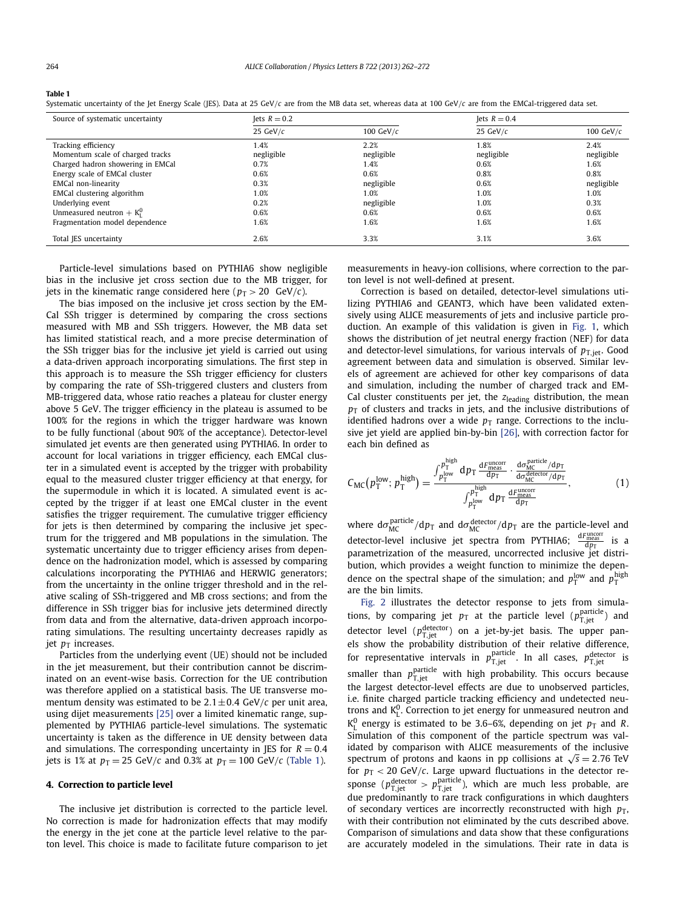#### <span id="page-2-0"></span>**Table 1**

Systematic uncertainty of the Jet Energy Scale (JES). Data at 25 GeV*/c* are from the MB data set, whereas data at 100 GeV*/c* are from the EMCal-triggered data set.

| Source of systematic uncertainty      | lets $R = 0.2$     |              | Jets $R = 0.4$ |              |
|---------------------------------------|--------------------|--------------|----------------|--------------|
|                                       | $25 \text{ GeV}/c$ | 100 GeV/ $c$ | 25 GeV/ $c$    | 100 GeV/ $c$ |
| Tracking efficiency                   | 1.4%               | 2.2%         | 1.8%           | 2.4%         |
| Momentum scale of charged tracks      | negligible         | negligible   | negligible     | negligible   |
| Charged hadron showering in EMCal     | 0.7%               | 1.4%         | 0.6%           | 1.6%         |
| Energy scale of EMCal cluster         | 0.6%               | 0.6%         | 0.8%           | 0.8%         |
| EMCal non-linearity                   | 0.3%               | negligible   | 0.6%           | negligible   |
| EMCal clustering algorithm            | 1.0%               | 1.0%         | 1.0%           | 1.0%         |
| Underlying event                      | 0.2%               | negligible   | 1.0%           | 0.3%         |
| Unmeasured neutron $+$ K <sup>0</sup> | 0.6%               | 0.6%         | 0.6%           | 0.6%         |
| Fragmentation model dependence        | 1.6%               | 1.6%         | 1.6%           | 1.6%         |
| Total JES uncertainty                 | 2.6%               | 3.3%         | 3.1%           | 3.6%         |

Particle-level simulations based on PYTHIA6 show negligible bias in the inclusive jet cross section due to the MB trigger, for jets in the kinematic range considered here ( $p_T > 20$  GeV/*c*).

The bias imposed on the inclusive jet cross section by the EM-Cal SSh trigger is determined by comparing the cross sections measured with MB and SSh triggers. However, the MB data set has limited statistical reach, and a more precise determination of the SSh trigger bias for the inclusive jet yield is carried out using a data-driven approach incorporating simulations. The first step in this approach is to measure the SSh trigger efficiency for clusters by comparing the rate of SSh-triggered clusters and clusters from MB-triggered data, whose ratio reaches a plateau for cluster energy above 5 GeV. The trigger efficiency in the plateau is assumed to be 100% for the regions in which the trigger hardware was known to be fully functional (about 90% of the acceptance). Detector-level simulated jet events are then generated using PYTHIA6. In order to account for local variations in trigger efficiency, each EMCal cluster in a simulated event is accepted by the trigger with probability equal to the measured cluster trigger efficiency at that energy, for the supermodule in which it is located. A simulated event is accepted by the trigger if at least one EMCal cluster in the event satisfies the trigger requirement. The cumulative trigger efficiency for jets is then determined by comparing the inclusive jet spectrum for the triggered and MB populations in the simulation. The systematic uncertainty due to trigger efficiency arises from dependence on the hadronization model, which is assessed by comparing calculations incorporating the PYTHIA6 and HERWIG generators; from the uncertainty in the online trigger threshold and in the relative scaling of SSh-triggered and MB cross sections; and from the difference in SSh trigger bias for inclusive jets determined directly from data and from the alternative, data-driven approach incorporating simulations. The resulting uncertainty decreases rapidly as jet  $p_T$  increases.

Particles from the underlying event (UE) should not be included in the jet measurement, but their contribution cannot be discriminated on an event-wise basis. Correction for the UE contribution was therefore applied on a statistical basis. The UE transverse momentum density was estimated to be  $2.1 \pm 0.4$  GeV/ $c$  per unit area, using dijet measurements [\[25\]](#page-6-0) over a limited kinematic range, supplemented by PYTHIA6 particle-level simulations. The systematic uncertainty is taken as the difference in UE density between data and simulations. The corresponding uncertainty in JES for  $R = 0.4$ jets is 1% at  $p_T = 25 \text{ GeV}/c$  and 0.3% at  $p_T = 100 \text{ GeV}/c$  (Table 1).

## **4. Correction to particle level**

The inclusive jet distribution is corrected to the particle level. No correction is made for hadronization effects that may modify the energy in the jet cone at the particle level relative to the parton level. This choice is made to facilitate future comparison to jet measurements in heavy-ion collisions, where correction to the parton level is not well-defined at present.

Correction is based on detailed, detector-level simulations utilizing PYTHIA6 and GEANT3, which have been validated extensively using ALICE measurements of jets and inclusive particle production. An example of this validation is given in [Fig. 1,](#page-3-0) which shows the distribution of jet neutral energy fraction (NEF) for data and detector-level simulations, for various intervals of  $p_{T,jet}$ . Good agreement between data and simulation is observed. Similar levels of agreement are achieved for other key comparisons of data and simulation, including the number of charged track and EM-Cal cluster constituents per jet, the *z*leading distribution, the mean  $p_T$  of clusters and tracks in jets, and the inclusive distributions of identified hadrons over a wide  $p<sub>T</sub>$  range. Corrections to the inclusive jet yield are applied bin-by-bin [\[26\],](#page-6-0) with correction factor for each bin defined as

$$
C_{\rm MC}(p_{\rm T}^{\rm low};p_{\rm T}^{\rm high}) = \frac{\int_{p_{\rm T}^{\rm high}}^{p_{\rm T}^{\rm high}} dp_{\rm T} \frac{dF_{\rm mras}^{\rm uncorr}}{dp_{\rm T}} \cdot \frac{d\sigma_{\rm MC}^{\rm particle}/dp_{\rm T}}{d\sigma_{\rm MC}^{\rm detector}/dp_{\rm T}}}{\int_{p_{\rm T}^{\rm low}}^{p_{\rm T}^{\rm high}} dp_{\rm T} \frac{dF_{\rm mras}^{\rm uncorr}}{dp_{\rm T}}},\tag{1}
$$

where d*σ*<sub>MC</sub><sup>particle</sup>/d*p*<sub>T</sub> and d*σ*<sub>MC</sub><sup>dp</sup><sub>T</sub> are the particle-level and detector-level inclusive jet spectra from PYTHIA6;  $\frac{dF_{\text{meas}}^{\text{uncor}}}{dp_T}$  is a parametrization of the measured, uncorrected inclusive jet distribution, which provides a weight function to minimize the dependence on the spectral shape of the simulation; and  $p_T^{\text{low}}$  and  $p_T^{\text{high}}$ are the bin limits.

[Fig. 2](#page-3-0) illustrates the detector response to jets from simulations, by comparing jet  $p_T$  at the particle level  $(p_{T,jet}^{\text{particle}})$  and detector level ( $p_{T,jet}^{\text{detector}}$ ) on a jet-by-jet basis. The upper panels show the probability distribution of their relative difference, for representative intervals in  $p_{T,jet}^{\text{particle}}$ . In all cases,  $p_{T,jet}^{\text{detector}}$  is smaller than  $p_{T,jet}^{\text{particle}}$  with high probability. This occurs because the largest detector-level effects are due to unobserved particles, i.e. finite charged particle tracking efficiency and undetected neutrons and  $K^0_L$ . Correction to jet energy for unmeasured neutron and  $K_L^0$  energy is estimated to be 3.6–6%, depending on jet  $p_T$  and *R*. Simulation of this component of the particle spectrum was validated by comparison with ALICE measurements of the inclusive spectrum of protons and kaons in pp collisions at  $\sqrt{s} = 2.76$  TeV for  $p_T < 20$  GeV/c. Large upward fluctuations in the detector response ( $p_{\text{T,jet}}^{\text{detector}} > p_{\text{T,jet}}^{\text{particle}}$ ), which are much less probable, are due predominantly to rare track configurations in which daughters of secondary vertices are incorrectly reconstructed with high  $p_{\text{T}}$ , with their contribution not eliminated by the cuts described above. Comparison of simulations and data show that these configurations are accurately modeled in the simulations. Their rate in data is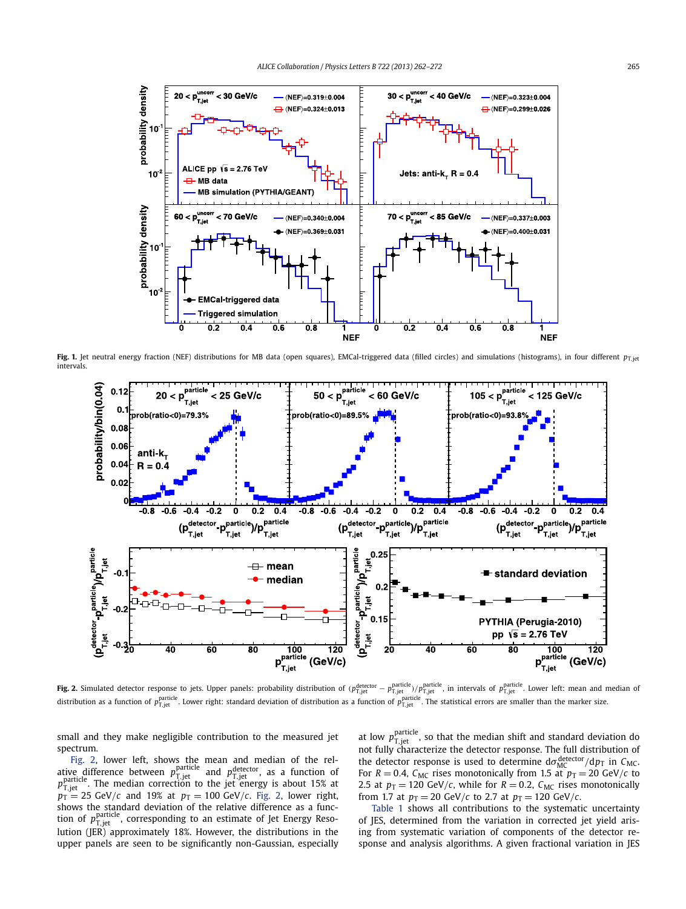<span id="page-3-0"></span>

Fig. 1. Jet neutral energy fraction (NEF) distributions for MB data (open squares), EMCal-triggered data (filled circles) and simulations (histograms), in four different *p*<sub>Tiet</sub> intervals.



**Fig. 2.** Simulated detector response to jets. Upper panels: probability distribution of  $(\bm{p}^{\text{detector}}_{\text{T,jet}} - \bm{p}^{\text{particle}}_{\text{T,jet}})/p^{\text{particle}}_{\text{T,jet}},$  in intervals of  $p^{\text{particle}}_{\text{T,jet}}$ . Lower left: mean and median of distribution as a function of  $p_{\rm T,jet}^{\rm particle}$ . Lower right: standard deviation of distribution as a function of  $p_{\rm T,jet}^{\rm particle}$ . The statistical errors are smaller than the marker size.

small and they make negligible contribution to the measured jet spectrum.

Fig. 2, lower left, shows the mean and median of the relative difference between  $p_{T,\text{jet}}^{\text{particle}}$  and  $p_{T,\text{jet}}^{\text{detector}}$ , as a function of *p*<sup>particle</sup>. The median correction to the jet energy is about 15% at  $p_T = 25$  GeV/*c* and 19% at  $p_T = 100$  GeV/*c*. Fig. 2, lower right, shows the standard deviation of the relative difference as a function of  $p_{\rm T,jet}^{\rm particle}$ , corresponding to an estimate of Jet Energy Resolution (JER) approximately 18%. However, the distributions in the upper panels are seen to be significantly non-Gaussian, especially

at low  $p_{\text{T,jet}}^{\text{particle}}$ , so that the median shift and standard deviation do not fully characterize the detector response. The full distribution of the detector response is used to determine  $d\sigma_{MC}^{detector}/dp_T$  in  $C_{MC}$ . For  $R = 0.4$ ,  $C_{MC}$  rises monotonically from 1.5 at  $p_T = 20$  GeV/*c* to 2.5 at  $p_T = 120 \text{ GeV}/c$ , while for  $R = 0.2$ ,  $C_{MC}$  rises monotonically from 1.7 at  $p_T = 20 \text{ GeV}/c$  to 2.7 at  $p_T = 120 \text{ GeV}/c$ .

[Table 1](#page-2-0) shows all contributions to the systematic uncertainty of JES, determined from the variation in corrected jet yield arising from systematic variation of components of the detector response and analysis algorithms. A given fractional variation in JES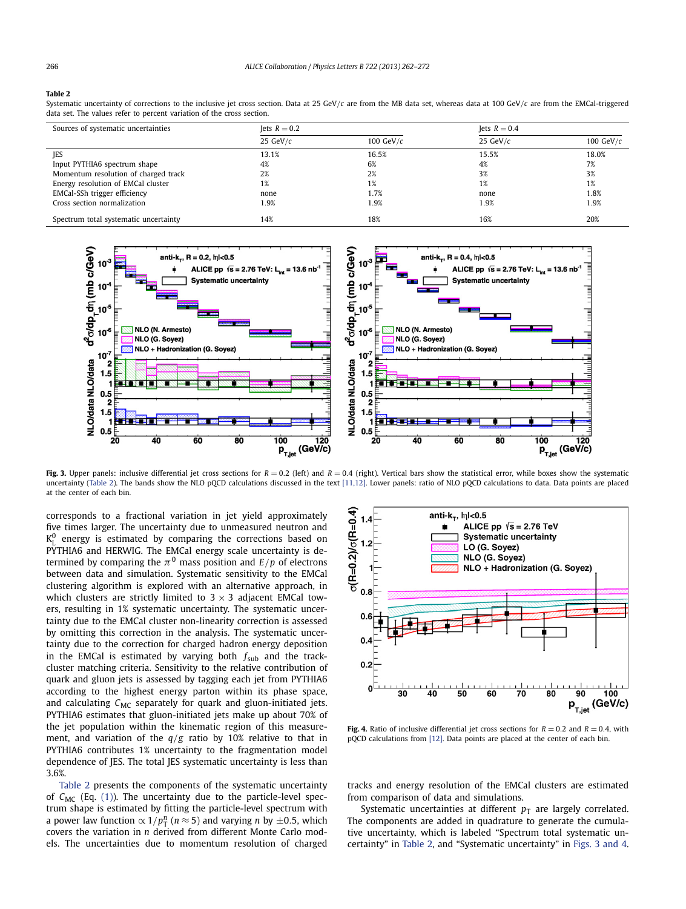#### <span id="page-4-0"></span>**Table 2**

Systematic uncertainty of corrections to the inclusive jet cross section. Data at 25 GeV*/c* are from the MB data set, whereas data at 100 GeV*/c* are from the EMCal-triggered data set. The values refer to percent variation of the cross section.

| Sources of systematic uncertainties   | Jets $R = 0.2$     |                     | Tets $R = 0.4$     |              |
|---------------------------------------|--------------------|---------------------|--------------------|--------------|
|                                       | $25 \text{ GeV}/c$ | $100 \text{ GeV}/c$ | $25 \text{ GeV}/c$ | 100 GeV/ $c$ |
| JES                                   | 13.1%              | 16.5%               | 15.5%              | 18.0%        |
| Input PYTHIA6 spectrum shape          | 4%                 | 6%                  | 4%                 | 7%           |
| Momentum resolution of charged track  | 2%                 | 2%                  | 3%                 | 3%           |
| Energy resolution of EMCal cluster    | 1%                 | 1%                  | 1%                 | 1%           |
| EMCal-SSh trigger efficiency          | none               | 1.7%                | none               | 1.8%         |
| Cross section normalization           | 1.9%               | 1.9%                | 1.9%               | 1.9%         |
| Spectrum total systematic uncertainty | 14%                | 18%                 | 16%                | 20%          |



**Fig. 3.** Upper panels: inclusive differential jet cross sections for  $R = 0.2$  (left) and  $R = 0.4$  (right). Vertical bars show the statistical error, while boxes show the systematic uncertainty (Table 2). The bands show the NLO pQCD calculations discussed in the text [\[11,12\].](#page-6-0) Lower panels: ratio of NLO pQCD calculations to data. Data points are placed at the center of each bin.

corresponds to a fractional variation in jet yield approximately five times larger. The uncertainty due to unmeasured neutron and  $K_L^0$  energy is estimated by comparing the corrections based on PYTHIA6 and HERWIG. The EMCal energy scale uncertainty is determined by comparing the  $\pi^0$  mass position and  $E/p$  of electrons between data and simulation. Systematic sensitivity to the EMCal clustering algorithm is explored with an alternative approach, in which clusters are strictly limited to  $3 \times 3$  adjacent EMCal towers, resulting in 1% systematic uncertainty. The systematic uncertainty due to the EMCal cluster non-linearity correction is assessed by omitting this correction in the analysis. The systematic uncertainty due to the correction for charged hadron energy deposition in the EMCal is estimated by varying both  $f_{sub}$  and the trackcluster matching criteria. Sensitivity to the relative contribution of quark and gluon jets is assessed by tagging each jet from PYTHIA6 according to the highest energy parton within its phase space, and calculating C<sub>MC</sub> separately for quark and gluon-initiated jets. PYTHIA6 estimates that gluon-initiated jets make up about 70% of the jet population within the kinematic region of this measurement, and variation of the *q/g* ratio by 10% relative to that in PYTHIA6 contributes 1% uncertainty to the fragmentation model dependence of JES. The total JES systematic uncertainty is less than 3.6%.

Table 2 presents the components of the systematic uncertainty of  $C_{MC}$  (Eq. [\(1\)\)](#page-2-0). The uncertainty due to the particle-level spectrum shape is estimated by fitting the particle-level spectrum with a power law function  $\propto 1/p_{\rm T}^n$  ( $n\approx$  5) and varying  $n$  by  $\pm$ 0.5, which covers the variation in *n* derived from different Monte Carlo models. The uncertainties due to momentum resolution of charged



**Fig. 4.** Ratio of inclusive differential jet cross sections for  $R = 0.2$  and  $R = 0.4$ , with pQCD calculations from [\[12\].](#page-6-0) Data points are placed at the center of each bin.

tracks and energy resolution of the EMCal clusters are estimated from comparison of data and simulations.

Systematic uncertainties at different  $p_T$  are largely correlated. The components are added in quadrature to generate the cumulative uncertainty, which is labeled "Spectrum total systematic uncertainty" in Table 2, and "Systematic uncertainty" in Figs. 3 and 4.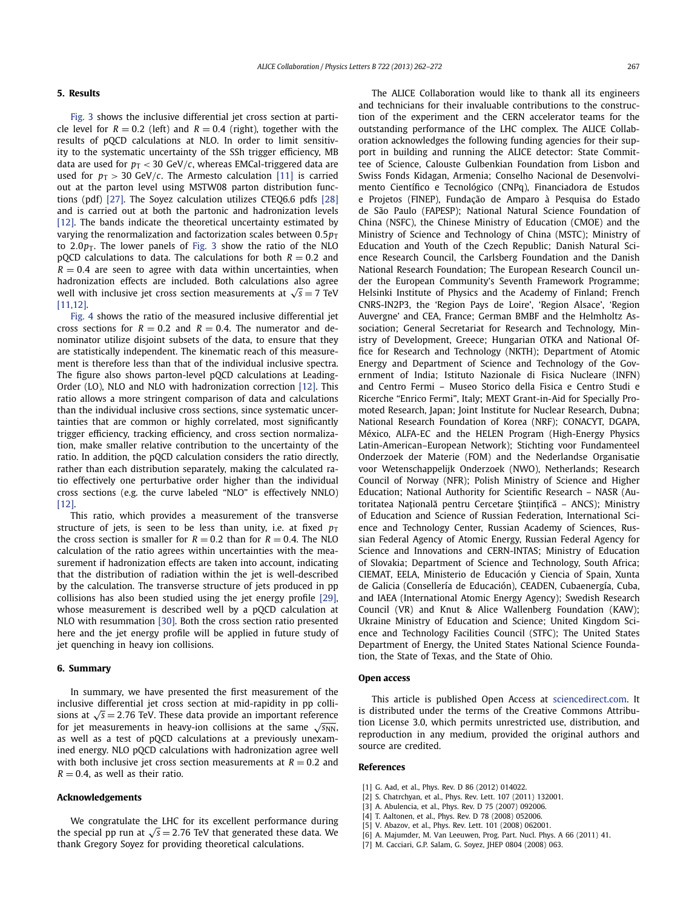## <span id="page-5-0"></span>**5. Results**

[Fig. 3](#page-4-0) shows the inclusive differential jet cross section at particle level for  $R = 0.2$  (left) and  $R = 0.4$  (right), together with the results of pQCD calculations at NLO. In order to limit sensitivity to the systematic uncertainty of the SSh trigger efficiency, MB data are used for  $p_T < 30$  GeV/c, whereas EMCal-triggered data are used for  $p_T > 30$  GeV/*c*. The Armesto calculation [\[11\]](#page-6-0) is carried out at the parton level using MSTW08 parton distribution functions (pdf) [\[27\].](#page-6-0) The Soyez calculation utilizes CTEQ6.6 pdfs [\[28\]](#page-6-0) and is carried out at both the partonic and hadronization levels [\[12\].](#page-6-0) The bands indicate the theoretical uncertainty estimated by varying the renormalization and factorization scales between  $0.5p_T$ to  $2.0p_T$ . The lower panels of [Fig. 3](#page-4-0) show the ratio of the NLO pOCD calculations to data. The calculations for both  $R = 0.2$  and  $R = 0.4$  are seen to agree with data within uncertainties, when hadronization effects are included. Both calculations also agree well with inclusive jet cross section measurements at  $\sqrt{s} = 7$  TeV [\[11,12\].](#page-6-0)

[Fig. 4](#page-4-0) shows the ratio of the measured inclusive differential jet cross sections for  $R = 0.2$  and  $R = 0.4$ . The numerator and denominator utilize disjoint subsets of the data, to ensure that they are statistically independent. The kinematic reach of this measurement is therefore less than that of the individual inclusive spectra. The figure also shows parton-level pQCD calculations at Leading-Order (LO), NLO and NLO with hadronization correction [\[12\].](#page-6-0) This ratio allows a more stringent comparison of data and calculations than the individual inclusive cross sections, since systematic uncertainties that are common or highly correlated, most significantly trigger efficiency, tracking efficiency, and cross section normalization, make smaller relative contribution to the uncertainty of the ratio. In addition, the pQCD calculation considers the ratio directly, rather than each distribution separately, making the calculated ratio effectively one perturbative order higher than the individual cross sections (e.g. the curve labeled "NLO" is effectively NNLO) [\[12\].](#page-6-0)

This ratio, which provides a measurement of the transverse structure of jets, is seen to be less than unity, i.e. at fixed  $p_T$ the cross section is smaller for  $R = 0.2$  than for  $R = 0.4$ . The NLO calculation of the ratio agrees within uncertainties with the measurement if hadronization effects are taken into account, indicating that the distribution of radiation within the jet is well-described by the calculation. The transverse structure of jets produced in pp collisions has also been studied using the jet energy profile [\[29\],](#page-6-0) whose measurement is described well by a pQCD calculation at NLO with resummation [\[30\].](#page-6-0) Both the cross section ratio presented here and the jet energy profile will be applied in future study of jet quenching in heavy ion collisions.

## **6. Summary**

In summary, we have presented the first measurement of the inclusive differential jet cross section at mid-rapidity in pp collisions at  $\sqrt{s}$  = 2.76 TeV. These data provide an important reference for jet measurements in heavy-ion collisions at the same  $\sqrt{s_{NN}}$ , as well as a test of pQCD calculations at a previously unexamined energy. NLO pQCD calculations with hadronization agree well with both inclusive jet cross section measurements at  $R = 0.2$  and  $R = 0.4$ , as well as their ratio.

## **Acknowledgements**

We congratulate the LHC for its excellent performance during the special pp run at  $\sqrt{s}$  = 2.76 TeV that generated these data. We thank Gregory Soyez for providing theoretical calculations.

The ALICE Collaboration would like to thank all its engineers and technicians for their invaluable contributions to the construction of the experiment and the CERN accelerator teams for the outstanding performance of the LHC complex. The ALICE Collaboration acknowledges the following funding agencies for their support in building and running the ALICE detector: State Committee of Science, Calouste Gulbenkian Foundation from Lisbon and Swiss Fonds Kidagan, Armenia; Conselho Nacional de Desenvolvi-

mento Científico e Tecnológico (CNPq), Financiadora de Estudos e Projetos (FINEP), Fundação de Amparo à Pesquisa do Estado de São Paulo (FAPESP); National Natural Science Foundation of China (NSFC), the Chinese Ministry of Education (CMOE) and the Ministry of Science and Technology of China (MSTC); Ministry of Education and Youth of the Czech Republic; Danish Natural Science Research Council, the Carlsberg Foundation and the Danish National Research Foundation; The European Research Council under the European Community's Seventh Framework Programme; Helsinki Institute of Physics and the Academy of Finland; French CNRS-IN2P3, the 'Region Pays de Loire', 'Region Alsace', 'Region Auvergne' and CEA, France; German BMBF and the Helmholtz Association; General Secretariat for Research and Technology, Ministry of Development, Greece; Hungarian OTKA and National Office for Research and Technology (NKTH); Department of Atomic Energy and Department of Science and Technology of the Government of India; Istituto Nazionale di Fisica Nucleare (INFN) and Centro Fermi – Museo Storico della Fisica e Centro Studi e Ricerche "Enrico Fermi", Italy; MEXT Grant-in-Aid for Specially Promoted Research, Japan; Joint Institute for Nuclear Research, Dubna; National Research Foundation of Korea (NRF); CONACYT, DGAPA, México, ALFA-EC and the HELEN Program (High-Energy Physics Latin-American–European Network); Stichting voor Fundamenteel Onderzoek der Materie (FOM) and the Nederlandse Organisatie voor Wetenschappelijk Onderzoek (NWO), Netherlands; Research Council of Norway (NFR); Polish Ministry of Science and Higher Education; National Authority for Scientific Research – NASR (Autoritatea Națională pentru Cercetare Științifică – ANCS); Ministry of Education and Science of Russian Federation, International Science and Technology Center, Russian Academy of Sciences, Russian Federal Agency of Atomic Energy, Russian Federal Agency for Science and Innovations and CERN-INTAS; Ministry of Education of Slovakia; Department of Science and Technology, South Africa; CIEMAT, EELA, Ministerio de Educación y Ciencia of Spain, Xunta de Galicia (Consellería de Educación), CEADEN, Cubaenergía, Cuba, and IAEA (International Atomic Energy Agency); Swedish Research Council (VR) and Knut & Alice Wallenberg Foundation (KAW); Ukraine Ministry of Education and Science; United Kingdom Science and Technology Facilities Council (STFC); The United States Department of Energy, the United States National Science Foundation, the State of Texas, and the State of Ohio.

## **Open access**

This article is published Open Access at [sciencedirect.com.](http://www.sciencedirect.com) It is distributed under the terms of the Creative Commons Attribution License 3.0, which permits unrestricted use, distribution, and reproduction in any medium, provided the original authors and source are credited.

### **References**

- [1] G. Aad, et al., Phys. Rev. D 86 (2012) 014022.
- [2] S. Chatrchyan, et al., Phys. Rev. Lett. 107 (2011) 132001.
- [3] A. Abulencia, et al., Phys. Rev. D 75 (2007) 092006.
- [4] T. Aaltonen, et al., Phys. Rev. D 78 (2008) 052006.
- [5] V. Abazov, et al., Phys. Rev. Lett. 101 (2008) 062001.
- [6] A. Majumder, M. Van Leeuwen, Prog. Part. Nucl. Phys. A 66 (2011) 41.
- 
- [7] M. Cacciari, G.P. Salam, G. Soyez, JHEP 0804 (2008) 063.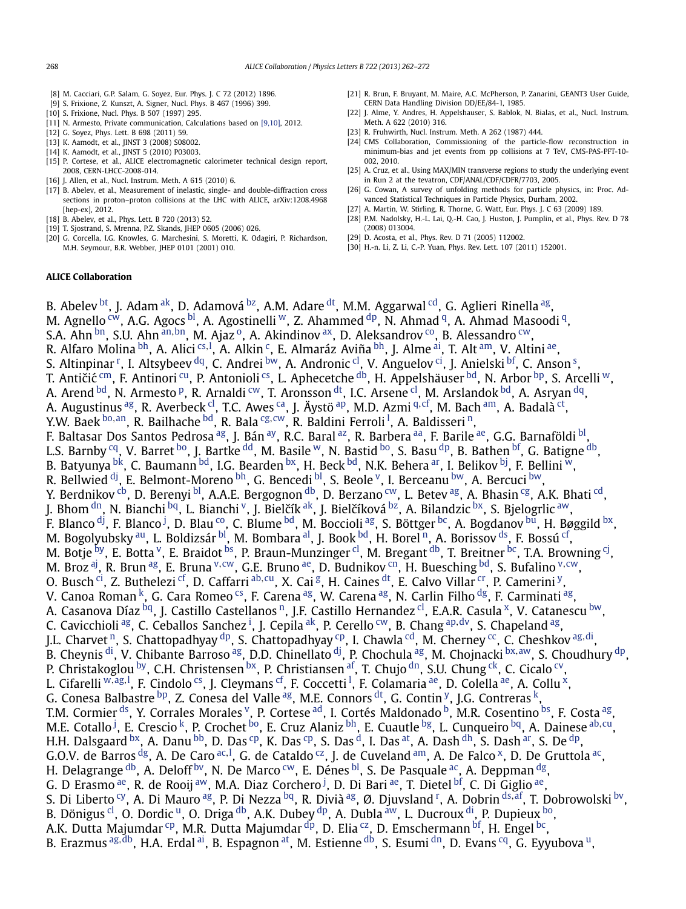- <span id="page-6-0"></span>[8] M. Cacciari, G.P. Salam, G. Soyez, Eur. Phys. J. C 72 (2012) 1896.
- [9] S. Frixione, Z. Kunszt, A. Signer, Nucl. Phys. B 467 (1996) 399.
- [10] S. Frixione, Nucl. Phys. B 507 (1997) 295.
- [11] N. Armesto, Private communication, Calculations based on [9,10], 2012.
- [12] G. Soyez, Phys. Lett. B 698 (2011) 59.
- [13] K. Aamodt, et al., JINST 3 (2008) S08002.
- [14] K. Aamodt, et al., JINST 5 (2010) P03003.
- [15] P. Cortese, et al., ALICE electromagnetic calorimeter technical design report, 2008, CERN-LHCC-2008-014.
- [16] J. Allen, et al., Nucl. Instrum. Meth. A 615 (2010) 6.
- [17] B. Abelev, et al., Measurement of inelastic, single- and double-diffraction cross sections in proton–proton collisions at the LHC with ALICE, arXiv:1208.4968 [hep-ex], 2012.
- [18] B. Abelev, et al., Phys. Lett. B 720 (2013) 52.
- [19] T. Sjostrand, S. Mrenna, P.Z. Skands, JHEP 0605 (2006) 026.
- [20] G. Corcella, I.G. Knowles, G. Marchesini, S. Moretti, K. Odagiri, P. Richardson, M.H. Seymour, B.R. Webber, JHEP 0101 (2001) 010.
- [21] R. Brun, F. Bruyant, M. Maire, A.C. McPherson, P. Zanarini, GEANT3 User Guide, CERN Data Handling Division DD/EE/84-1, 1985.
- [22] J. Alme, Y. Andres, H. Appelshauser, S. Bablok, N. Bialas, et al., Nucl. Instrum. Meth. A 622 (2010) 316.
- [23] R. Fruhwirth, Nucl. Instrum. Meth. A 262 (1987) 444.
- [24] CMS Collaboration, Commissioning of the particle-flow reconstruction in minimum-bias and jet events from pp collisions at 7 TeV, CMS-PAS-PFT-10- 002, 2010.
- [25] A. Cruz, et al., Using MAX/MIN transverse regions to study the underlying event in Run 2 at the tevatron, CDF/ANAL/CDF/CDFR/7703, 2005.
- [26] G. Cowan, A survey of unfolding methods for particle physics, in: Proc. Advanced Statistical Techniques in Particle Physics, Durham, 2002.
- [27] A. Martin, W. Stirling, R. Thorne, G. Watt, Eur. Phys. J. C 63 (2009) 189.
- [28] P.M. Nadolsky, H.-L. Lai, Q.-H. Cao, J. Huston, J. Pumplin, et al., Phys. Rev. D 78 (2008) 013004.
- [29] D. Acosta, et al., Phys. Rev. D 71 (2005) 112002.
- [30] H.-n. Li, Z. Li, C.-P. Yuan, Phys. Rev. Lett. 107 (2011) 152001.

## **ALICE Collaboration**

B. Abelev <sup>bt</sup>, J. Adam <sup>ak</sup>, D. Adamová <sup>bz</sup>, A.M. Adare <sup>dt</sup>, M.M. Aggarwal <sup>cd</sup>, G. Aglieri Rinella <sup>ag</sup>, M. Agnello CW, A.G. Agocs <sup>bl</sup>, A. Agostinelli W. Z. Ahammed  $dp$ , N. Ahmad q. A. Ahmad Masoodi q. S.A. Ahn <sup>[bn](#page-9-0)</sup>, S.U. Ahn [an](#page-9-0)<sub>,</sub>[bn,](#page-9-0) M. Ajaz<sup>o</sup>, A. Akindinov [ax,](#page-9-0) D. Aleksandrov<sup>co</sup>, B. Alessandro<sup>cw</sup>, R. Alfaro Molina <sup>bh</sup>, A. Alici <sup>[cs](#page-10-0), I</sup>, A. A[l](#page-9-0)kin <sup>c</sup>, E. Almaráz Aviña <sup>bh</sup>, J. Alme <sup>ai</sup>, T. Alt <sup>am</sup>, V. Altini <sup>ae</sup>, S. Altinpina[r](#page-9-0) <sup>r</sup>, I. Altsybeev <sup>dq</sup>, C. Andrei <sup>[bw](#page-9-0)</sup>, A. Andronic <sup>[cl](#page-10-0)</sup>, V. Anguelov <sup>[ci](#page-10-0)</[s](#page-9-0)up>, J. Anielski <sup>bf</sup>, C. Anson <sup>s</sup>, T. Antičić c<sup>m</sup>, F. Antinori [cu,](#page-10-0) P. Antonioli [cs,](#page-10-0) L. Aphecetche [db,](#page-10-0) H. Appelshäuser [bd,](#page-9-0) N. Arbor [bp,](#page-9-0) S. Arcelli [w,](#page-9-0) A. Arend [bd,](#page-9-0) N. Armesto P, R. Arnaldi CW, T. Aronsson [dt,](#page-10-0) I.C. Arsene [cl,](#page-10-0) M. Arslandok bd, A. Asryan [dq,](#page-10-0) A. Augustinus <sup>ag</sup>, R. Averbeck <sup>cl</sup>, T.C. Awes <sup>ca</sup>, J. Äystö <sup>ap</sup>, M.D. Azmi <sup>[q](#page-9-0),cf</sup>, M. Bach <sup>am</sup>, A. Badalà <sup>ct</sup>, Y.W. Baek <sup>[bo](#page-9-0),an</sup>, R. Bailhache <sup>bd</sup>, R. Bala <sup>[cg](#page-10-0), cw</sup>, R. Ba[l](#page-9-0)dini Ferroli <sup>l</sup>, A. Baldisseri <sup>n</sup>, F. Baltasar Dos Santos Pedrosa <sup>ag</sup>, J. Bán <sup>ay</sup>, R.C. Baral <sup>az</sup>, R. Barbera <sup>aa</sup>, F. Barile <sup>ae</sup>, G.G. Barnaföldi <sup>bl</sup>, L.S. Barnby <sup>cq</sup>, V. Barret <sup>bo</sup>, J. Bartke <sup>dd</sup>, M. Basile <sup>w</sup>, N. Bastid <sup>bo</sup>, S. Basu <sup>dp</sup>, B. Bathen <sup>bf</sup>, G. Batigne <sup>[db](#page-10-0)</sup>, B. Batyunya [bk,](#page-9-0) C. Baumann [bd,](#page-9-0) I.G. Bearden [bx,](#page-10-0) H. Beck bd, N.K. Behera [ar,](#page-9-0) I. Belikov [bj,](#page-9-0) F. Bellini [w,](#page-9-0) R. Bellwied  $\frac{di}{dx}$ , E. Belmont-Moreno  $\frac{bh}{dx}$ , G. Bencedi  $\frac{bl}{dx}$ , S. Beole  $\frac{v}{dx}$ , I. Berceanu  $\frac{bw}{dx}$  $\frac{bw}{dx}$  $\frac{bw}{dx}$ , A. Bercuci  $\frac{bw}{dx}$ Y. Berdnikov <sup>[cb](#page-10-0)</sup>, D. Berenyi <sup>bl</sup>, A.A.E. Bergognon <sup>db</sup>, D. Berzano <sup>cw</sup>, L. Betev <sup>[ag](#page-9-0)</sup>, A. Bhasin <sup>[cg](#page-10-0)</sup>, A.K. Bhati <sup>cd</sup>, J. Bhom [dn](#page-10-0), N. Bianchi  $\log$ , L. Bianchi  $\sqrt{y}$ , J. Bielčík  $\frac{dx}{dy}$ , J. Bielčíková  $\frac{dz}{dy}$ , A. Bilandzic  $\frac{bx}{dy}$ , S. Bjelogrlic  $\frac{dw}{dy}$ , F. Blanco <sup>d[j](#page-9-0)</sup>, F. Blanco <sup>j</sup>, D. Blau <sup>co</sup>, C. Blume <sup>[bd](#page-9-0)</sup>, M. Boccioli <sup>ag</sup>, S. Böttger <sup>bc</sup>, A. Bogdanov <sup>bu</sup>, H. Bøggild <sup>bx</sup>, M. Bogolyubsky <sup>au</sup>, L. Boldizsár <sup>[bl](#page-9-0)</sup>, M. Bombara <sup>al</sup>, J. Book <sup>bd</sup>, H. Borel <sup>[n](#page-9-0)</sup>, A. Borissov <sup>ds</sup>, F. Bossú <sup>[cf](#page-10-0)</sup>, M. Botje [by,](#page-10-0) E. Botta <sup>v</sup>, E. Braidot <sup>bs</sup>, P. Braun-Munzinger [cl,](#page-10-0) M. Bregant [db,](#page-10-0) T. Breitner [bc](#page-9-0), T.A. Browning [cj,](#page-10-0) M. Broz [aj,](#page-9-0) R. Brun [ag](#page-9-0), E. Bruna <sup>[v](#page-9-0), cw</sup>, G.E. Bruno [ae,](#page-9-0) D. Budnikov <sup>cn</sup>, H. Buesching <sup>bd</sup>, S. Bufalino <sup>v, cw</sup>, O. Busch [ci,](#page-10-0) Z. Buthelezi [cf,](#page-10-0) D. Caffarri [ab](#page-9-0), [cu,](#page-10-0) X. Cai <sup>g</sup>, H. Caines <sup>dt</sup>, E. Calvo Villar <sup>cr</sup>, P. Camerini <sup>[y](#page-9-0)</sup>, V. Canoa Roman [k,](#page-9-0) G. Cara Romeo Cs, F. Carena  $\frac{dg}{dS}$ , W. Carena  $\frac{dg}{dS}$ , N. Carlin Filho  $\frac{dg}{dS}$ , F. Carminati  $\frac{dg}{dS}$ , A. Casanova Díaz <sup>bq</sup>, J. Castillo Castellanos <sup>n</sup>, J.F. Castillo Hernandez <sup>cl</sup>, E.A.R. Casula <sup>x</sup>, V. Catanescu <sup>[bw](#page-9-0)</sup>, C. Cav[i](#page-9-0)cchioli <sup>ag</sup>, C. Ceballos Sanchez <sup>i</sup>, J. Cepila <sup>ak</sup>, P. Cerello <sup>cw</sup>, B. Chang <sup>[ap](#page-9-0),dv</sup>, S. Chapeland <sup>ag</sup>, J.L. Charvet [n,](#page-9-0) S. Chattopadhyay [dp,](#page-10-0) S. Chattopadhyay [cp,](#page-10-0) I. Chawla [cd,](#page-10-0) M. Cherney [cc,](#page-10-0) C. Cheshkov [ag](#page-9-0)*,*[di,](#page-10-0) B. Cheynis <sup>di</sup>, V. Chibante Barroso <sup>ag</sup>, D.D. Chinellato <sup>[dj](#page-10-0)</sup>, P. Chochula <sup>ag</sup>, M. Chojnacki [bx](#page-10-0), [aw,](#page-9-0) S. Choudhury <sup>dp</sup>, P. Christakoglou [by,](#page-10-0) C.H. Christensen [bx,](#page-10-0) P. Christiansen  $\frac{af}{dr}$ , T. Chujo  $\frac{dn}{dr}$ , S.U. Chung  $\frac{ck}{dr}$ , C. Cicalo  $\frac{cv}{r}$  $\frac{cv}{r}$  $\frac{cv}{r}$ , L. Cifarelli <sup>[w](#page-9-0),[ag](#page-9-0), 1</sup>, F. Cindo[l](#page-9-0)o <sup>cs</sup>, J. Cleymans <sup>cf</sup>, F. Coccetti <sup>1</sup>, F. Colamaria <sup>ae</sup>, D. Colella <sup>ae</sup>, A. Collu <sup>x</sup>, G. Conesa Balbastre <sup>bp</sup>, Z. Conesa del Valle <sup>ag</sup>, M.E. Connors <sup>dt</sup>, G. Contin <sup>y</sup>, J.G. Contreras <sup>k</sup>, T.M. Cormier [ds,](#page-10-0) Y. Corrales Morales V, P. Cortese [ad](#page-9-0), I. Cortés Maldonado [b,](#page-9-0) M.R. Cosentino [bs,](#page-9-0) F. Costa [ag](#page-9-0), M.E. Cotallo <sup>[j](#page-9-0)</sup>, E. Crescio <sup>k</sup>, P. Crochet <sup>bo</sup>, E. Cruz Alaniz <sup>bh</sup>, E. Cuautle <sup>bg</sup>, L. Cunqueiro <sup>bq</sup>, A. Dainese <sup>[ab](#page-9-0),cu</sup>, H.H. Dalsgaard <sup>bx</sup>, A. Danu <sup>bb</sup>, D. Das <sup>cp</sup>, K. Das <sup>cp</sup>, S. Das <sup>d</sup>, I. Das <sup>at</sup>, A. Dash <sup>[dh](#page-10-0)</sup>, S. Dash <sup>ar</sup>, S. De <sup>dp</sup>, G.O.V. de Barros <sup>dg</sup>, A. De Caro <sup>[ac](#page-9-0), [l](#page-9-0)</sup>, G. de Cataldo <sup>cz</sup>, J. de Cuveland <sup>am</sup>, A. De Falco <sup>x</sup>, D. De Gruttola <sup>ac</sup>, H. Delagrange [db,](#page-10-0) A. Deloff [bv,](#page-9-0) N. De Marco [cw](#page-10-0), E. Dénes [bl,](#page-9-0) S. De Pasquale [ac](#page-9-0), A. Deppman [dg,](#page-10-0) G. D Erasmo <sup>ae</sup>, R. de Rooij <sup>[aw](#page-9-0)</sup>, M.A. Diaz Corchero <sup>[j](#page-9-0)</sup>, D. Di Bari <sup>ae</sup>, T. Dietel <sup>bf</sup>, C. Di Giglio <sup>ae</sup>, S. Di Libe[r](#page-9-0)to <sup>cy</sup>, A. Di Mauro <sup>ag</sup>, P. Di Nezza <sup>bq</sup>, R. Divià <sup>ag</sup>, Ø. Djuvsland <sup>r</sup>, A. Dobrin <sup>[ds](#page-10-0), af</sup>, T. Dobrowolski <sup>bv</sup>, B. Dönigus <sup>[cl](#page-10-0)</sup>, O. Dordic <sup>u</sup>, O. Driga <sup>[db](#page-10-0)</sup>, A.K. Dubey <sup>dp</sup>, A. Dubla <sup>[aw](#page-9-0)</sup>, L. Ducroux <sup>di</sup>, P. Dupieux <sup>bo</sup>, A.K. Dutta Majumdar <sup>cp</sup>, M.R. Dutta Majumdar <sup>dp</sup>, D. Elia <sup>cz</sup>, D. Emschermann [bf,](#page-9-0) H. Engel [bc,](#page-9-0) B. Erazmus <sup>[ag](#page-9-0),db</sup>, H.A. Erdal ai, B. Espagnon at, M. Estienne [db,](#page-10-0) S. Esumi [dn,](#page-10-0) D. Evans <sup>cq</sup>, G. Eyyubova <sup>u</sup>,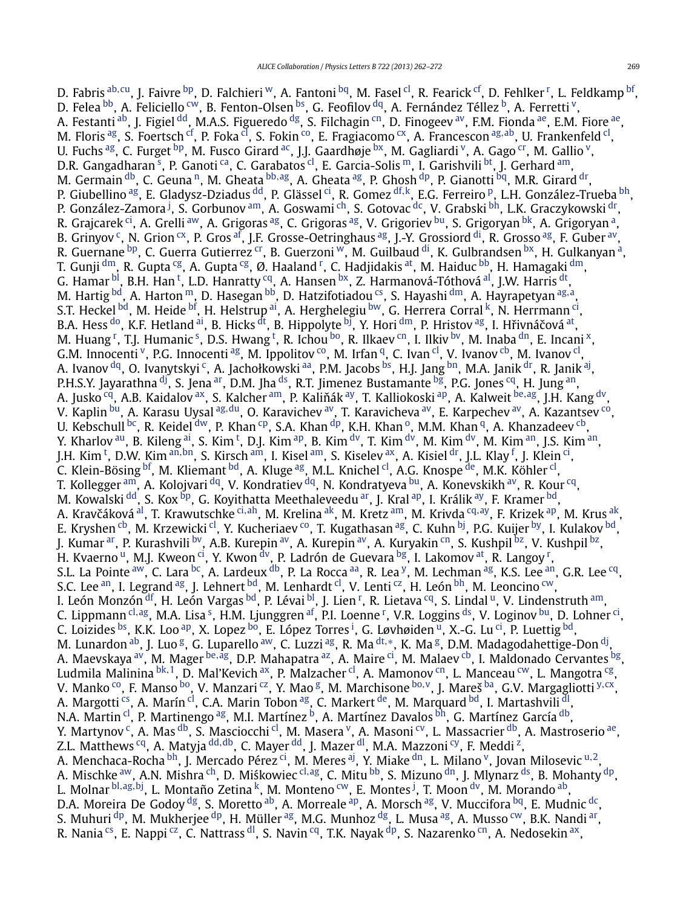D. F[ab](#page-9-0)[r](#page-9-0)is <sup>ab,cu</sup>, J. Faivre <sup>bp</sup>, D. Falchieri <sup>w</sup>, A. Fantoni <sup>bq</sup>, M. Fasel <sup>cl</sup>, R. Fearick <sup>cf</sup>, D. Fehlker <sup>r</sup>, L. Feldkamp <sup>bf</sup>, D. Felea <sup>bb</sup>, A. Feliciello <sup>cw</sup>, B. Fenton-Olsen <sup>bs</sup>, G. Feofilov <sup>dq</sup>, A. Fernández Téllez <sup>b</sup>, A. Ferretti <sup>v</sup>, A. Festanti <sup>ab</sup>, J. Figiel <sup>dd</sup>, M.A.S. Figueredo <sup>dg</sup>, S. Filchagin <sup>cn</sup>, D. Finogeev <sup>av</sup>, F.M. Fionda <sup>ae</sup>, E.M. Fiore <sup>ae</sup>, M. Floris <sup>ag</sup>, S. Foertsch cf, P. Foka cl, S. Fokin <sup>co</sup>, E. Fragiacomo Cx, A. Francescon <sup>[ag,](#page-9-0) [ab](#page-9-0)</sup>, U. Frankenfeld <sup>cl</sup>, U. Fuchs  $^{ag}$ , C. Furget  $^{bp}$ , M. Fusco Girard  $^{ac}$  $^{ac}$  $^{ac}$ , J.J. Gaardhøje  $^{bx}$ , M. Gagliardi <sup>v</sup>, A. Gago <sup>cr</sup>, M. Gallio <sup>v</sup>, D.R. Gangadharan <[s](#page-9-0)up>s</sup>, P. Ganoti <sup>ca</sup>, C. Garabatos <sup>cl</sup>, E. Garcia-Solis <sup>m</sup>, I. Garishvili <sup>bt</sup>, J. Gerhard <sup>am</sup>, M. Germain <sup>db</sup>, C. Geuna<sup>n</sup>, M. Gheata <sup>[bb](#page-9-0), ag</sup>, A. Gheata <sup>ag</sup>, P. Ghosh <sup>dp</sup>, P. Gianotti <sup>bq</sup>, M.R. Girard <sup>dr</sup>, P. Giubellino [ag,](#page-9-0) E. Gladysz-Dziadus [dd,](#page-10-0) P. Glässel [ci,](#page-10-0) R. Gomez [df](#page-10-0)*,*[k,](#page-9-0) E.G. Ferreiro [p,](#page-9-0) L.H. González-Trueba [bh,](#page-9-0) P. González-Zamora <sup>[j](#page-9-0)</sup>, S. Gorbunov <sup>am</sup>, A. Goswami <sup>ch</sup>, S. Gotovac <sup>dc</sup>, V. Grabski <sup>bh</sup>, L.K. Graczykowski <sup>[dr](#page-10-0)</sup>, R. Grajcarek <sup>ci</sup>, A. Grelli <sup>aw</sup>, A. Grigoras <sup>ag</sup>, C. Grigoras <sup>ag</sup>, V. Grigoriev <sup>[bu](#page-9-0)</sup>, S. Grigoryan <sup>[bk](#page-9-0)</sup>, A. Grigoryan <sup>a</sup>, B. Grinyov<sup>c</sup>, N. Grion<sup>cx</sup>, P. Gros [af,](#page-9-0) J.F. Grosse-Oetringhaus <sup>ag</sup>, J.-Y. Grossiord [di,](#page-10-0) R. Grosso <sup>ag</sup>, F. Guber [av,](#page-9-0) R. Guernane <sup>bp</sup>, C. Guerra Gutierrez Cr, B. Guerzoni <sup>w</sup>, M. Guilbaud [di,](#page-10-0) K. Gulbrandsen <sup>bx</sup>, H. Gulkanyan<sup>a</sup>, T. Gunji <sup>dm</sup>, R. Gupta <sup>cg</sup>, A. Gupta <sup>cg</sup>, Ø. Haaland <sup>[r](#page-9-0)</sup>, C. Hadjidakis <sup>at</sup>, M. Haiduc <sup>bb</sup>, H. Hamagaki <sup>dm</sup>, G. Hamar <sup>bl</sup>, B.H. Han <sup>[t](#page-9-0)</sup>, L.D. Hanratty <sup>cq</sup>, A. Hansen <sup>[bx](#page-10-0)</sup>, Z. Harmanová-Tóthová <sup>[al](#page-9-0)</sup>, J.W. Harris <sup>dt</sup>, M. Hartig <sup>bd</sup>, A. Harton <sup>m</sup>, D. Hasegan <sup>bb</sup>, D. Hatzifotiadou <sup>cs</sup>, S. Hayashi <sup>dm</sup>, A. Hayrapetyan <sup>[ag](#page-9-0),[a](#page-9-0)</sup>, S.T. Heckel [bd,](#page-9-0) M. Heide [bf,](#page-9-0) H. Helstrup [ai,](#page-9-0) A. Herghelegiu [bw](#page-9-0), G. Herrera Corral [k,](#page-9-0) N. Herrmann [ci,](#page-10-0) B.A. Hess <sup>do</sup>, K.F. Hetland [ai,](#page-9-0) B. Hicks [dt,](#page-10-0) B. Hippolyte <sup>bj</sup>, Y. Hori [dm,](#page-10-0) P. Hristov [ag,](#page-9-0) I. Hřivnáčová [at,](#page-9-0) M. Huang <sup>[r](#page-9-0)</[s](#page-9-0)up>, T.J. Humanic <sup>s</sup>, D.S. Hwang <sup>[t](#page-9-0)</sup>, R. Ichou <sup>bo</sup>, R. Ilkaev <sup>cn</sup>, I. Ilkiv <sup>[bv](#page-9-0)</sup>, M. Inaba <sup>dn</sup>, E. Incani <sup>x</sup>, G.M. Innocenti <sup>v</sup>, P.G. Innocenti <sup>ag</sup>, M. Ippolitov <sup>co</sup>, M. Irfan <sup>q</sup>, C. Ivan <sup>[cl](#page-10-0)</sup>, V. Ivanov <sup>cb</sup>, M. Ivanov <sup>cl</sup>, A. Ivanov <sup>dq</sup>, O. Ivanytskyi <sup>c</sup>, A. Jachołkowski [aa,](#page-9-0) P.M. Jacobs [bs,](#page-9-0) H.J. Jang [bn,](#page-9-0) M.A. Janik <sup>dr</sup>, R. Janik [aj,](#page-9-0) P.H.S.Y. Jayarathna <sup>dj</sup>, S. Jena <sup>ar</sup>, D.M. Jha <sup>ds</sup>, R.T. Jimenez Bustamante <sup>bg</sup>, P.G. Jones <sup>cq</sup>, H. Jung <sup>an</sup>, A. Jusko <sup>cq</sup>, A.B. Kaidalov <sup>ax</sup>, S. Kalcher <sup>am</sup>, P. Kaliňák <sup>ay</sup>, T. Kalliokoski <sup>ap</sup>, A. Kalweit <sup>[be](#page-9-0), ag</sup>, J.H. Kang <sup>dv</sup>, V. Kaplin <sup>bu</sup>, A. Karasu Uysal <sup>[ag](#page-9-0), du</sup>, O. Karavichev <sup>av</sup>, T. Karavicheva <sup>av</sup>, E. Karpechev <sup>av</sup>, A. Kazantsev <sup>co</sup>, U. Kebschull <sup>bc</sup>, R. Keidel <sup>dw</sup>, P. Khan <sup>cp</sup>, S.A. Khan <sup>dp</sup>, K.H. Khan <sup>o</sup>, M.M. Khan <sup>q</sup>, A. Khanzadeev <sup>cb</sup>, Y. Kharlov <sup>au</sup>, B. Kileng <sup>ai</sup>, S. Kim <sup>[t](#page-9-0)</sup>, D.J. Kim <sup>[ap](#page-9-0)</sup>, B. Kim <sup>dv</sup>, T. Kim <sup>dv</sup>, M. Kim <sup>dv</sup>, M. Kim <sup>an</sup>, J.S. Kim <sup>an</sup>, J.H. Kim <sup>[t](#page-9-0)</sup>, D.W. Kim <sup>[an](#page-9-0),bn</sup>, S. Kirsch <sup>am</sup>, I. Kisel <sup>am</sup>, S. Kiselev <sup>ax</sup>, A. Kisiel <sup>dr</sup>, J.L. Klay <sup>[f](#page-9-0)</sup>, J. Klein <sup>[ci](#page-10-0)</sup>, C. Klein-Bösing <sup>bf</sup>, M. Kliemant <sup>bd</sup>, A. Kluge <sup>ag</sup>, M.L. Knichel <sup>cl</sup>, A.G. Knospe <sup>de</sup>, M.K. Köhler <sup>cl</sup>, T. Kollegger <sup>am</sup>, A. Kolojvari <sup>dq</sup>, V. Kondratiev <sup>dq</sup>, N. Kondratyeva <sup>bu</sup>, A. Konevskikh <sup>[av](#page-9-0)</sup>, R. Kour <sup>cq</sup>, M. Kowalski <sup>dd</sup>, S. Kox <sup>bp</sup>, G. Koyithatta Meethaleveedu [ar,](#page-9-0) J. Kral [ap,](#page-9-0) I. Králik [ay](#page-9-0), F. Kramer [bd,](#page-9-0) A. Kravčáková <sup>al</sup>, T. Krawutschke <sup>[ci](#page-10-0),ah</sup>, M. Krelina <sup>ak</sup>, M. Kretz <sup>am</sup>, M. Krivda <sup>[cq](#page-10-0),ay</sup>, F. Krizek <sup>ap</sup>, M. Krus <sup>ak</sup>, E. Kryshen Cb, M. Krzewicki Cl, Y. Kucheriaev Co, T. Kugathasan <sup>ag</sup>, C. Kuhn <sup>bj</sup>, P.G. Kuijer <sup>by</sup>, I. Kulakov <sup>bd</sup>, J. Kumar [ar,](#page-9-0) P. Kurashvili [bv](#page-9-0), A.B. Kurepin [av](#page-9-0), A. Kurepin av, A. Kuryakin [cn,](#page-10-0) S. Kushpil [bz,](#page-10-0) V. Kushpil bz, H. Kvae[r](#page-9-0)no <sup>u</sup>, M.J. Kweon <sup>ci</sup>, Y. Kwon <sup>dv</sup>, P. Ladrón de Guevara <sup>bg</sup>, I. Lakomov <sup>at</sup>, R. Langoy <sup>r</sup>, S.L. La Pointe [aw,](#page-9-0) C. Lara [bc,](#page-9-0) A. Lardeux [db,](#page-10-0) P. La Rocca [aa,](#page-9-0) R. Lea <sup>y</sup>, M. Lechman <sup>ag</sup>, K.S. Lee <sup>an</sup>, G.R. Lee <sup>[cq](#page-10-0)</sup>, S.C. Lee [an,](#page-9-0) I. Legrand [ag,](#page-9-0) J. Lehnert [bd,](#page-9-0) M. Lenhardt [cl,](#page-10-0) V. Lenti [cz,](#page-10-0) H. León [bh,](#page-9-0) M. Leoncino [cw,](#page-10-0) I. León Monzón $^{\rm df}$  $^{\rm df}$  $^{\rm df}$ , H. León Vargas <sup>bd</sup>, P. Lévai <sup>[bl](#page-9-0)</sup>, J. Lien <sup>[r](#page-9-0)</sup>, R. Lietava <sup>cq</sup>, S. Lindal <sup>u</sup>, V. Lindenstruth <sup>am</sup>, C. Lippmann <sup>[cl](#page-10-0),ag</[s](#page-9-0)up>, M.A. Lisa <sup>s</sup>, H.M. Ljungg[r](#page-9-0)en <sup>af</sup>, P.I. Loenne <sup>r</sup>, V.R. Loggins <sup>ds</sup>, V. Loginov <sup>bu</sup>, D. Lohner <sup>ci</sup>, C. Lo[i](#page-9-0)zides <sup>bs</sup>, K.K. Loo <sup>ap</sup>, X. Lopez <sup>bo</sup>, E. López Torres <sup>i</sup>, G. Løvhøiden <sup>u</sup>, X.-G. Lu <sup>ci</sup>, P. Luettig <sup>bd</sup>, M. Lunardon [ab,](#page-9-0) J. Luo<sup>g</sup>, G. Luparello [aw,](#page-9-0) C. Luzzi <sup>ag</sup>, R. Ma <sup>[dt](#page-10-0),[∗](#page-10-0)</sup>, K. Ma <sup>g</sup>, D.M. Madagodahettige-Don <sup>dj</sup>, A. Maevskaya [av](#page-9-0), M. Mager [be](#page-9-0), [ag,](#page-9-0) D.P. Mahapatra [az,](#page-9-0) A. Maire [ci,](#page-10-0) M. Malaev [cb,](#page-10-0) I. Maldonado Cervantes [bg,](#page-9-0) Ludmila Malinina <sup>[bk](#page-9-0), 1</sup>, D. Mal'Kevich <sup>ax</sup>, P. Malzacher <sup>cl</sup>, A. Mamonov <sup>cn</sup>, L. Manceau <sup>cw</sup>, L. Mangotra <sup>cg</sup>, V. Manko <sup>co</sup>, F. Manso <sup>bo</sup>, V. Manzari <sup>cz</sup>, Y. Mao <sup>g</sup>, M. Marchisone <sup>[bo,](#page-9-0) v</sup>, J. Mareš <sup>ba</sup>, G.V. Mar[g](#page-9-0)agliotti <sup>[y](#page-9-0), cx</sup>, A. Margotti CS, A. Marín Cl, C.A. Marin Tobon <sup>ag</sup>, C. Markert <sup>de</sup>, M. Marquard <sup>bd</sup>, I. Martashvili [dl,](#page-10-0) N.A. Martin <sup>cl</sup>, P. Martinengo <sup>ag</sup>, M.I. Martínez [b,](#page-9-0) A. Martínez Davalos <sup>[bh](#page-9-0)</sup>, G. Martínez García <sup>db</sup>, Y. Martynov<sup>c</sup>, A. Mas <sup>[db](#page-10-0)</sup>, S. Masciocchi <sup>cl</sup>, M. Masera <sup>v</sup>, A. Masoni <sup>cv</sup>, L. Massacrier <sup>db</sup>, A. Mastroserio <sup>ae</sup>, Z.L. Matthews <sup>cq</sup>, A. Matyja <sup>[dd](#page-10-0), db</sup>, C. Mayer <sup>dd</sup>, J. Mazer <sup>dl</sup>, M.A. Mazzoni <sup>cy</sup>, F. Meddi <sup>z</sup>, A. Menchaca-Rocha <sup>bh</sup>, J. Mercado Pérez <sup>[ci](#page-10-0)</sup>, M. Meres <sup>[aj](#page-9-0)</s[u](#page-9-0)p>, Y. Miake <sup>dn</sup>, L. Milano <sup>v</sup>, Jovan Milosevic <sup>u, [2](#page-10-0)</sup>, A. Mischke [aw,](#page-9-0) A.N. Mishra [ch,](#page-10-0) D. Miskowiec <sup>[cl](#page-10-0), ag</sup>, C. Mitu <sup>bb</sup>, S. Mizuno [dn,](#page-10-0) J. Mlynarz [ds,](#page-10-0) B. Mohanty [dp,](#page-10-0) L. Molnar <sup>[bl](#page-9-0),[ag](#page-9-0),b[j](#page-9-0)</sup>, L. Montaño Zetina <sup>k</sup>, M. Monteno <sup>cw</sup>, E. Montes <sup>j</sup>, T. Moon <sup>dv</sup>, M. Morando <sup>ab</sup>, D.A. Moreira De Godoy <sup>dg</sup>, S. Moretto [ab,](#page-9-0) A. Morreale [ap,](#page-9-0) A. Morsch [ag,](#page-9-0) V. Muccifora [bq,](#page-9-0) E. Mudnic [dc](#page-10-0), S. Muhuri <sup>dp</sup>, M. Mukherjee <sup>dp</sup>, H. Müller <sup>ag</sup>, M.G. Munhoz <sup>dg</sup>, L. Musa <sup>ag</sup>, A. Musso <sup>cw</sup>, B.K. Nandi <sup>ar</sup>, R. Nania <sup>cs</sup>, E. Nappi <sup>cz</sup>, C. Nattrass <sup>dl</sup>, S. Navin <sup>[cq](#page-10-0)</sup>, T.K. Nayak <sup>[dp](#page-10-0)</sup>, S. Nazarenko <sup>cn</sup>, A. Nedosekin <sup>ax</sup>,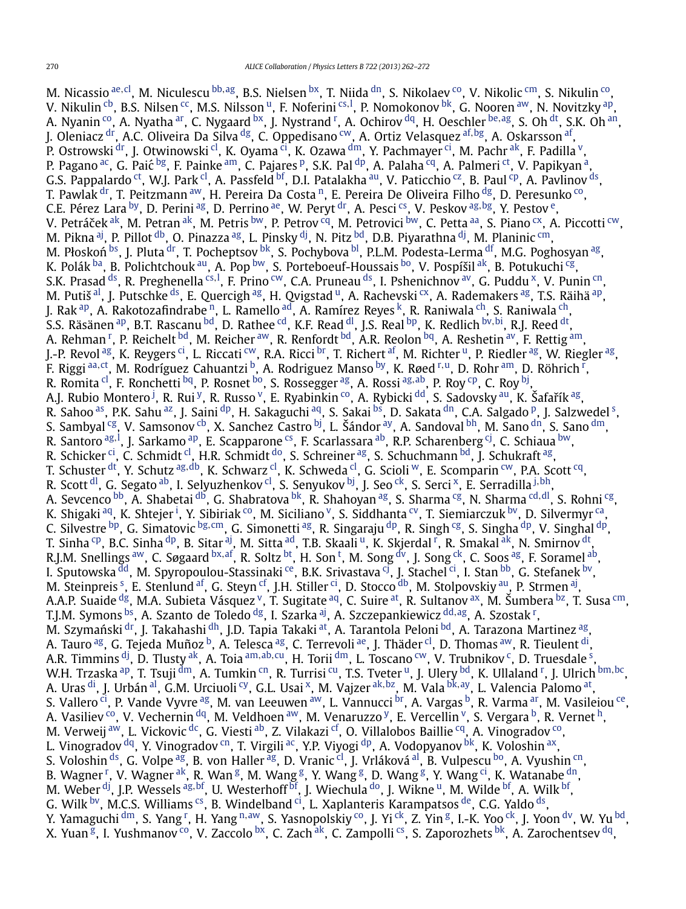M. Nicassio [ae](#page-9-0),[cl](#page-10-0), M. Niculescu [bb](#page-9-0), [ag,](#page-9-0) B.S. Nielsen [bx,](#page-10-0) T. Niida [dn,](#page-10-0) S. Nikolaev <sup>co</sup>, V. Nikolic [cm,](#page-10-0) S. Nikulin <sup>co</sup>, V. Nikulin <sup>cb</sup>, B.S. Nilsen <sup>cc</sup>, M.S. Nilsson <sup>u</sup>, F. Noferini <sup>[cs](#page-10-0),[l](#page-9-0)</sup>, P. Nomokonov <sup>bk</sup>, G. Nooren <sup>[aw](#page-9-0)</sup>, N. Novitzky <sup>ap</sup>, A. Nyanin <sup>co</sup>, A. Nyatha <sup>ar</sup>, C. Nygaard <sup>[bx](#page-10-0)</sup>, J. Nyst[r](#page-9-0)and <sup>r</sup>, A. Ochirov <sup>dq</sup>, H. Oeschler <sup>[be](#page-9-0),ag</sup>, S. Oh <sup>dt</sup>, S.K. Oh <sup>an</sup>, J. Oleniacz [dr,](#page-10-0) A.C. Oliveira Da Silva [dg,](#page-10-0) C. Oppedisano [cw,](#page-10-0) A. Ortiz Velasquez [af](#page-9-0)*,*[bg](#page-9-0), A. Oskarsson [af,](#page-9-0) P. Ostrowski <sup>dr</sup>, J. Otwinowski <sup>cl</sup>, K. Oyama <sup>ci</sup>, K. Ozawa <sup>dm</sup>, Y. Pachmayer <sup>ci</sup>, M. Pachr <sup>ak</sup>, F. Padilla <sup>v</sup>, P. Pagano <sup>ac</sup>, G. Paic<sup>` bg</sup>, F. Painke <sup>am</sup>, C. Pajares <sup>p</sup>, S.K. Pal <sup>dp</sup>, A. Palaha <sup>cq</sup>, A. Palmeri <sup>ct</sup>, V. Papikyan <sup>a</sup> G.S. Pappalardo <sup>ct</sup>, W.J. Park <sup>cl</sup>, A. Passfeld <sup>bf</sup>, D.I. Patalakha <sup>au</sup>, V. Paticchio <sup>cz</sup>, B. Paul <sup>[cp](#page-10-0)</sup>, A. Pavlinov <sup>ds</sup>, T. P[aw](#page-9-0)lak <sup>dr</sup>, T. Peitzma[n](#page-9-0)n <sup>aw</sup>, H. Pereira Da Costa <sup>n</sup>, E. Pereira De Oliveira Filho <sup>dg</sup>, D. Peresunko <sup>co</sup>, C.E. Pérez Lara [by,](#page-10-0) D. Perini [ag,](#page-9-0) D. Perrino [ae,](#page-9-0) W. Peryt [dr,](#page-10-0) A. Pesci [cs,](#page-10-0) V. Peskov [ag](#page-9-0)*,*[bg,](#page-9-0) Y. Pestov [e,](#page-9-0) V. Petráček <sup>ak</sup>, M. Petran <sup>ak</sup>, M. Petris [bw,](#page-9-0) P. Petrov <sup>cq</sup>, M. Petrovici <sup>bw</sup>, C. Petta <sup>aa</sup>, S. Piano <sup>cx</sup>, A. Piccotti <sup>cw</sup>, M. Pikna [aj,](#page-9-0) P. Pillot [db,](#page-10-0) O. Pinazza [ag,](#page-9-0) L. Pinsky [dj,](#page-10-0) N. Pitz [bd,](#page-9-0) D.B. Piyarathna dj, M. Planinic [cm,](#page-10-0) M. Phoskon<sup>bs</sup>, J. Pluta [dr,](#page-10-0) T. Pocheptsov <sup>bk</sup>, S. Pochybova bl, P.L.M. Podesta-Lerma df, M.G. Poghosyan <sup>ag</sup>, M. Phoskon<sup>bs</sup>, J. Pluta dr, T. Pocheptsov [bk,](#page-9-0) S. Pochybova [bl,](#page-9-0) P.L.M. Podesta-Lerma [df,](#page-10-0) M.G. Poghosyan <sup>ag</sup>, K. Polák <sup>ba</sup>, B. Polichtchouk <sup>au</sup>, A. Pop <sup>bw</sup>, S. Porteboeuf-Houssais <sup>bo</sup>, V. Pospíšil <sup>ak</sup>, B. Potukuchi <sup>cg</sup>, S.K. Prasad <sup>ds</sup>, R. Preghenella <sup>[cs](#page-10-0), [l](#page-9-0)</sup>, F. Prino <sup>cw</sup>, C.A. Pruneau <sup>ds</sup>, I. Pshenichnov <sup>av</sup>, G. Puddu <sup>x</sup>, V. Punin <sup>cn</sup>, M. Putiš [al,](#page-9-0) J. Putschke [ds,](#page-10-0) E. Quercigh [ag,](#page-9-0) H. Qvigstad <s[u](#page-9-0)p>u</sup>, A. Rachevski <sup>cx</sup>, A. Rademakers ag, T.S. Räihä [ap,](#page-9-0) J. Rak <sup>ap</sup>, A. Rakotozafindrabe <sup>n</sup>, L. Ramello <sup>ad</sup>, A. Ramírez Reyes <sup>k</sup>, R. Raniwala <sup>ch</sup>, S. Raniwala <sup>ch</sup>, S.S. Räsänen <sup>ap</sup>, B.T. Rascanu <sup>bd</sup>, D. Rathee <sup>cd</sup>, K.F. Read <sup>[dl](#page-10-0)</sup>, J.S. Real <sup>bp</sup>, K. Redlich <sup>[bv](#page-9-0), [bi](#page-9-0)</sup>, R.J. Reed <sup>[dt](#page-10-0)</sup>, A. Rehman <sup>[r](#page-9-0)</sup>, P. Reichelt <sup>bd</sup>, M. Reicher <sup>aw</sup>, R. Renfordt <sup>bd</sup>, A.R. Reolon <sup>bq</sup>, A. Reshetin <sup>[av](#page-9-0)</sup>, F. Rettig <sup>[am](#page-9-0)</sup>, J.-P. Revol<sup>ag</sup>, K. Reygers <sup>ci</sup>, L. Riccati <sup>cw</sup>, R.A. Ricci <sup>br</sup>, T. Richert <sup>af</sup>, M. Richter <sup>u</sup>, P. Riedler <sup>ag</sup>, W. Riegler <sup>ag</sup>, F. Riggi <sup>[aa](#page-9-0),ct</sup>, M. Rod[r](#page-9-0)íguez Cahuantzi <sup>b</sup>, A. Rodriguez Manso <sup>by</sup>, K. Røed <sup>r,u</sup>, D. Rohr <sup>am</sup>, D. Röhrich <sup>r</sup>, R. Romita [cl,](#page-10-0) F. Ronchetti [bq,](#page-9-0) P. Rosnet [bo,](#page-9-0) S. Rossegger [ag,](#page-9-0) A. Rossi [ag](#page-9-0)*,*[ab,](#page-9-0) P. Roy [cp,](#page-10-0) C. Roy [bj,](#page-9-0) A.J. Rubio Montero <sup>[j](#page-9-0)</sup>, R. Rui <sup>y</sup>, R. Russo <sup>v</sup>, E. Ryabinkin <sup>co</sup>, A. Rybicki <sup>dd</sup>, S. Sadovsky <sup>au</sup>, K. Šafařík <sup>ag</sup>, R. Sahoo <[s](#page-9-0)up>as</sup>, P.K. Sahu <sup>az</sup>, J. Saini <sup>dp</sup>, H. Sakaguchi <sup>aq</sup>, S. Sakai <sup>bs</sup>, D. Sakata <sup>dn</sup>, C.A. Salgado <sup>p</sup>, J. Salzwedel <sup>s</sup>, S. Sambyal <sup>cg</sup>, V. Samsonov <sup>cb</sup>, X. Sanchez Castro <sup>bj</sup>, L. Šándor <sup>ay</sup>, A. Sandoval <sup>bh</sup>, M. Sano <sup>dn</sup>, S. Sano <sup>dm</sup>, R. Santoro <sup>[ag](#page-9-0), I</sup>, J. Sarkamo <sup>ap</sup>, E. Scapparone <sup>cs</sup>, F. Scar[l](#page-9-0)assara <sup>ab</sup>, R.P. Scharenberg <sup>cj</sup>, C. Schiaua <sup>bw</sup>, R. Schicker <sup>ci</sup>, C. Schmidt <sup>cl</sup>, H.R. Schmidt <sup>[do](#page-10-0)</sup>, S. Schreiner <sup>ag</sup>, S. Schuchmann <sup>[bd](#page-9-0)</sup>, J. Schukraft <sup>ag</sup>, T. Schuster <sup>[dt](#page-10-0)</sup>, Y. Schutz <sup>[ag](#page-9-0),db</sup>, K. Schwarz <sup>cl</sup>, K. Schweda <sup>cl</sup>, G. Scioli <sup>w</sup>, E. Scomparin <sup>cw</sup>, P.A. Scott <sup>cq</sup>, R. Scott [dl,](#page-10-0) G. Segato [ab,](#page-9-0) I. Selyuzhenkov [cl,](#page-10-0) S. Senyukov [bj,](#page-9-0) J. Seo [ck,](#page-10-0) S. Serci [x,](#page-9-0) E. Serradilla [j](#page-9-0)*,*[bh,](#page-9-0) A. Sevcenco [bb,](#page-9-0) A. Shabetai [db,](#page-10-0) G. Shabratova [bk,](#page-9-0) R. Shahoyan [ag,](#page-9-0) S. Sharma [cg,](#page-10-0) N. Sharma [cd](#page-10-0), [dl,](#page-10-0) S. Rohni cg, K. Sh[i](#page-9-0)gaki <sup>aq</sup>, K. Shtejer <sup>i</sup>, Y. Sibiriak <sup>co</sup>, M. Siciliano <sup>v</sup>, S. Siddhanta <sup>cv</sup>, T. Siemiarczuk <sup>[bv](#page-9-0)</sup>, D. Silvermyr <sup>ca</sup>, C. Silvestre <sup>bp</sup>, G. Simatovic <sup>[bg](#page-9-0),cm</sup>, G. Simonetti <sup>ag</sup>, R. Singaraju [dp,](#page-10-0) R. Singh [cg,](#page-10-0) S. Singha dp, V. Singhal dp, T. Sinha <s[u](#page-9-0)p>cp</sup>, B.C. Sinha <sup>dp</sup>, B. Sita[r](#page-9-0) <sup>aj</sup>, M. Sitta <sup>ad</sup>, T.B. Skaali <sup>u</sup>, K. Skjerdal <sup>r</sup>, R. Smakal <sup>ak</sup>, N. Smirnov <sup>dt</sup>, R.J.M. Snellings <sup>aw</sup>, C. Søgaard <sup>[bx](#page-10-0),af</sup>, R. Sol[t](#page-9-0)z <sup>bt</sup>, H. Son <sup>t</sup>, M. Song <sup>dv</sup>, J. Song <sup>ck</sup>, C. Soos <sup>ag</sup>, F. Soramel <sup>ab</sup>, I. Sputowska [dd](#page-10-0), M. Spyropoulou-Stassinaki <sup>ce</sup>, B.K. Srivastava [cj,](#page-10-0) J. Stachel [ci,](#page-10-0) I. Stan [bb](#page-9-0), G. Stefanek [bv,](#page-9-0) M. Steinprei[s](#page-9-0) <sup>s</sup>, E. Stenlund <sup>[af](#page-9-0)</sup>, G. Steyn <sup>cf</sup>, J.H. Stiller <sup>ci</sup>, D. Stocco <sup>db</sup>, M. Stolpovskiy <sup>[au](#page-9-0)</sup>, P. Strmen <sup>aj</sup>, A.A.P. Suaide <sup>dg</sup>, M.A. Subieta Vásquez <sup>v</sup>, T. Sugitate <sup>aq</sup>, C. Suire <sup>at</sup>, R. Sultanov <sup>ax</sup>, M. Šumbera <sup>bz</sup>, T. Susa <sup>cm</sup>, T.J.M. Symons <sup>bs</sup>, A. Szanto de Toledo <sup>[dg](#page-10-0)</sup>, I. Szarka <sup>aj</sup>, A. Szczepankiewicz <sup>[dd](#page-10-0), ag</sup>, A. Szostak <sup>[r](#page-9-0)</sup>, M. Szymański <sup>dr</sup>, J. Takahashi <sup>dh</sup>, J.D. Tapia Takaki <sup>[at](#page-9-0)</sup>, A. Tarantola Peloni <sup>bd</sup>, A. Tarazona Martinez <sup>[ag](#page-9-0)</sup>, A. Tauro <sup>ag</sup>, G. Tejeda Muñoz <sup>b</sup>, A. Telesca <sup>ag</sup>, C. Terrevoli <sup>ae</sup>, J. Thäder <sup>cl</sup>, D. Thomas <sup>[aw](#page-9-0)</sup>, R. Tieulent <sup>di</sup>, A.R. Timmins <sup>dj</sup>, D. Tlusty <sup>ak</sup>, A. Toia <sup>[am](#page-9-0),[ab](#page-9-0),cu</[s](#page-9-0)up>, H. Torii <sup>dm</sup>, L. Toscano <sup>cw</sup>, V. Trubnikov <sup>c</sup>, D. Truesdale <sup>s</sup>, W.H. Trzaska <sup>[ap](#page-9-0)</sup>, T. Tsuji <sup>dm</sup>, A. Tumkin <sup>cn</sup>, R. Tu[r](#page-9-0)risi <sup>cu</sup>, T.S. Tveter <sup>u</sup>, J. Ulery <sup>bd</sup>, K. Ullaland <sup>r</sup>, J. Ulrich <sup>[bm](#page-9-0),bc</sup>, A. Uras <sup>di</sup>, J. Urbán <sup>al</sup>, G.M. Urciuoli <sup>cy</sup>, G.L. Usai <sup>x</sup>, M. Vajzer <sup>[ak](#page-9-0), bz</sup>, M. Vala <sup>[bk](#page-9-0), ay</sup>, L. Valencia Palomo <sup>at</sup>, S. Vallero <sup>ci</sup>, P. Vande Vyvre <sup>[ag](#page-9-0)</sup>, M. van Leeuwen <sup>aw</sup>, L. Vannucci <sup>br</sup>, A. Vargas <sup>b</sup>, R. Varma <sup>ar</sup>, M. Vasileiou <sup>ce</sup>, A. Vasilie[v](#page-9-0) <sup>co</sup>, V. Vec[h](#page-9-0)ernin <sup>dq</sup>, M. Veldhoen <sup>aw</sup>, M. Venaruzzo <sup>y</sup>, E. Vercellin <sup>v</sup>, S. Vergara <sup>b</sup>, R. Vernet <sup>h</sup>, M. Verweij [aw,](#page-9-0) L. Vickovic [dc,](#page-10-0) G. Viesti [ab,](#page-9-0) Z. Vilakazi [cf,](#page-10-0) O. Villalobos Baillie [cq,](#page-10-0) A. Vinogradov [co,](#page-10-0) M. Verweij aw, L. Vickovic dc, G. Viesti ab, Z. Vilakazi cf, O. Villalobos Baillie cq, A. Vinogradov co, L. Vinogradov<sup>[dq](#page-10-0)</sup>, Y. Vinogradov<sup>cn</sup>, T. Virgili [ac,](#page-9-0) Y.P. Viyogi [dp,](#page-10-0) A. Vodopyanov <sup>bk</sup>, K. Voloshin [ax,](#page-9-0) S. Voloshin <sup>ds</sup>, G. Volpe <sup>ag</sup>, B. von Haller <sup>ag</sup>, D. Vranic <sup>cl</sup>, J. Vrláková <sup>al</sup>, B. Vulpescu <sup>bo</sup>, A. Vyushin <sup>cn</sup>, B. Wagne[r](#page-9-0) <sup>r</sup>, V. Wa[g](#page-9-0)ner <sup>ak</sup>, R. Wan <sup>g</sup>, M. Wang <sup>g</sup>, Y. Wang <sup>g</sup>, D. Wang <sup>g</sup>, Y. Wang <sup>ci</sup>, K. Watanabe <sup>dn</sup>, M. Weber [dj,](#page-10-0) J.P. Wessels [ag](#page-9-0)*,*[bf,](#page-9-0) U. Westerhoff [bf,](#page-9-0) J. Wiechula [do,](#page-10-0) J. Wikne [u,](#page-9-0) M. Wilde [bf,](#page-9-0) A. Wilk [bf,](#page-9-0) G. Wilk <sup>bv</sup>, M.C.S. Williams <sup>cs</sup>, B. Windelband <sup>ci</sup>, L. Xaplanteris Karampatsos <sup>de</sup>, C.G. Yaldo <sup>[ds](#page-10-0)</sup>, Y. Yamaguchi <sup>dm</sup>, S. Yang <sup>[r](#page-9-0)</sup>, H. Ya[n](#page-9-0)g <sup>n,[aw](#page-9-0)</sup>, S. Yasnopolskiy <sup>co</sup>, J. Yi <sup>ck</sup>, Z. Yin <sup>g</sup>, I.-K. Yoo <sup>ck</sup>, J. Yoon <sup>dv</sup>, W. Yu <sup>bd</sup>, X. Yuan <sup>g</sup>, I. Yushmanov<sup>co</sup>, V. Zaccolo <sup>bx</sup>, C. Zach [ak,](#page-9-0) C. Zampolli [cs,](#page-10-0) S. Zaporozhets <sup>bk</sup>, A. Zarochentsev <sup>[dq](#page-10-0)</sup>,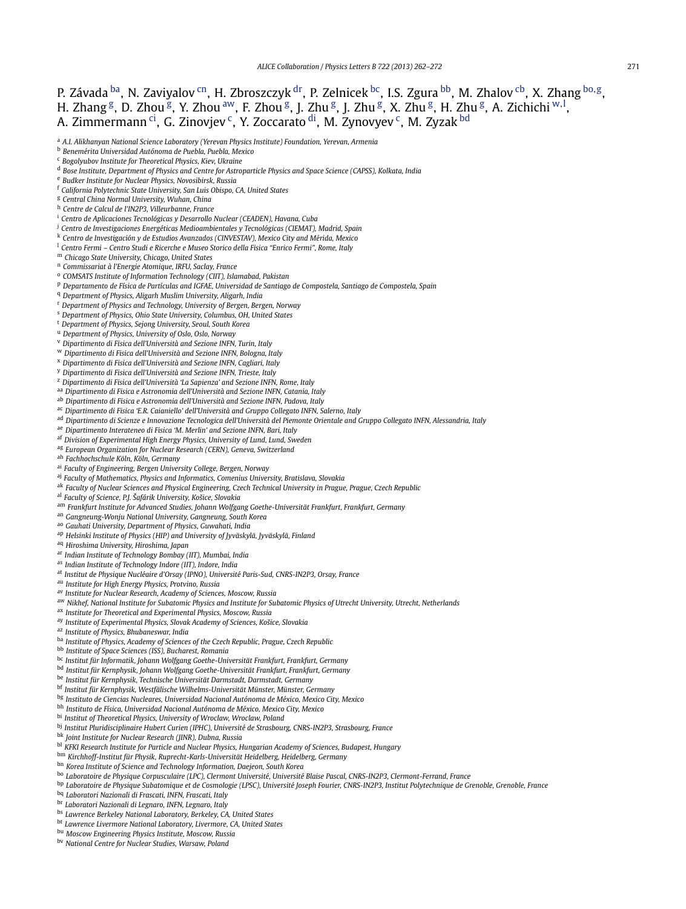## <span id="page-9-0"></span>P. Závada <sup>ba</sup>, N. Zaviyalov <sup>cn</sup>, H. Zbroszczyk <sup>dr</sup>, P. Zelnicek <sup>bc</sup>, I.S. Zgura <sup>bb</sup>, M. Zhalov <sup>cb</sup>, X. Zhang <sup>bo,g</sup>, H. Zhang <sup>g</sup>, D. Zhou <sup>g</sup>, Y. Zhou <sup>aw</sup>, F. Zhou <sup>g</sup>, J. Zhu <sup>g</sup>, J. Zhu <sup>g</sup>, X. Zhu <sup>g</sup>, H. Zhu <sup>g</sup>, A. Zichichi <sup>w, l</sup>, A. Zimmermann <sup>ci</sup>, G. Zinovjev <sup>c</sup>, Y. Zoccarato <sup>di</sup>, M. Zynovyev <sup>c</sup>, M. Zyzak <sup>bd</sup>

<sup>a</sup> *A.I. Alikhanyan National Science Laboratory (Yerevan Physics Institute) Foundation, Yerevan, Armenia*

<sup>b</sup> *Benemérita Universidad Autónoma de Puebla, Puebla, Mexico*

<sup>c</sup> *Bogolyubov Institute for Theoretical Physics, Kiev, Ukraine*

<sup>d</sup> *Bose Institute, Department of Physics and Centre for Astroparticle Physics and Space Science (CAPSS), Kolkata, India*

- <sup>f</sup> *California Polytechnic State University, San Luis Obispo, CA, United States*
- <sup>g</sup> *Central China Normal University, Wuhan, China*
- <sup>h</sup> *Centre de Calcul de l'IN2P3, Villeurbanne, France*
- <sup>i</sup> *Centro de Aplicaciones Tecnológicas y Desarrollo Nuclear (CEADEN), Havana, Cuba*
- <sup>j</sup> *Centro de Investigaciones Energéticas Medioambientales y Tecnológicas (CIEMAT), Madrid, Spain*
- <sup>k</sup> *Centro de Investigación y de Estudios Avanzados (CINVESTAV), Mexico City and Mérida, Mexico*
- <sup>l</sup> *Centro Fermi Centro Studi e Ricerche e Museo Storico della Fisica "Enrico Fermi", Rome, Italy*
- <sup>m</sup> *Chicago State University, Chicago, United States*
- <sup>n</sup> *Commissariat à l'Energie Atomique, IRFU, Saclay, France*
- <sup>o</sup> *COMSATS Institute of Information Technology (CIIT), Islamabad, Pakistan*
- <sup>p</sup> *Departamento de Física de Partículas and IGFAE, Universidad de Santiago de Compostela, Santiago de Compostela, Spain*
- <sup>q</sup> *Department of Physics, Aligarh Muslim University, Aligarh, India*
- <sup>r</sup> *Department of Physics and Technology, University of Bergen, Bergen, Norway*
- <sup>s</sup> *Department of Physics, Ohio State University, Columbus, OH, United States*
- <sup>t</sup> *Department of Physics, Sejong University, Seoul, South Korea*
- <sup>u</sup> *Department of Physics, University of Oslo, Oslo, Norway*
- <sup>v</sup> *Dipartimento di Fisica dell'Università and Sezione INFN, Turin, Italy*
- <sup>w</sup> *Dipartimento di Fisica dell'Università and Sezione INFN, Bologna, Italy*
- <sup>x</sup> *Dipartimento di Fisica dell'Università and Sezione INFN, Cagliari, Italy*
- <sup>y</sup> *Dipartimento di Fisica dell'Università and Sezione INFN, Trieste, Italy*
- <sup>z</sup> *Dipartimento di Fisica dell'Università 'La Sapienza' and Sezione INFN, Rome, Italy*
- aa *Dipartimento di Fisica e Astronomia dell'Università and Sezione INFN, Catania, Italy*
- ab *Dipartimento di Fisica e Astronomia dell'Università and Sezione INFN, Padova, Italy*
- ac *Dipartimento di Fisica 'E.R. Caianiello' dell'Università and Gruppo Collegato INFN, Salerno, Italy*
- ad *Dipartimento di Scienze e Innovazione Tecnologica dell'Università del Piemonte Orientale and Gruppo Collegato INFN, Alessandria, Italy*
- ae *Dipartimento Interateneo di Fisica 'M. Merlin' and Sezione INFN, Bari, Italy*
- af *Division of Experimental High Energy Physics, University of Lund, Lund, Sweden*
- ag *European Organization for Nuclear Research (CERN), Geneva, Switzerland*
- ah *Fachhochschule Köln, Köln, Germany*
- ai *Faculty of Engineering, Bergen University College, Bergen, Norway*
- aj *Faculty of Mathematics, Physics and Informatics, Comenius University, Bratislava, Slovakia*
- ak *Faculty of Nuclear Sciences and Physical Engineering, Czech Technical University in Prague, Prague, Czech Republic*
- al *Faculty of Science, P.J. Šafárik University, Košice, Slovakia*
- am *Frankfurt Institute for Advanced Studies, Johann Wolfgang Goethe-Universität Frankfurt, Frankfurt, Germany*
- an *Gangneung-Wonju National University, Gangneung, South Korea*
- ao *Gauhati University, Department of Physics, Guwahati, India*
- ap *Helsinki Institute of Physics (HIP) and University of Jyväskylä, Jyväskylä, Finland*
- aq *Hiroshima University, Hiroshima, Japan*
- ar *Indian Institute of Technology Bombay (IIT), Mumbai, India*
- as *Indian Institute of Technology Indore (IIT), Indore, India*
- at *Institut de Physique Nucléaire d'Orsay (IPNO), Université Paris-Sud, CNRS-IN2P3, Orsay, France*
- au *Institute for High Energy Physics, Protvino, Russia*
- av *Institute for Nuclear Research, Academy of Sciences, Moscow, Russia*
- aw *Nikhef, National Institute for Subatomic Physics and Institute for Subatomic Physics of Utrecht University, Utrecht, Netherlands*
- ax *Institute for Theoretical and Experimental Physics, Moscow, Russia*
- ay *Institute of Experimental Physics, Slovak Academy of Sciences, Košice, Slovakia*
- az *Institute of Physics, Bhubaneswar, India*
- ba *Institute of Physics, Academy of Sciences of the Czech Republic, Prague, Czech Republic*
- bb *Institute of Space Sciences (ISS), Bucharest, Romania*
- bc *Institut für Informatik, Johann Wolfgang Goethe-Universität Frankfurt, Frankfurt, Germany*
- bd *Institut für Kernphysik, Johann Wolfgang Goethe-Universität Frankfurt, Frankfurt, Germany*
- be *Institut für Kernphysik, Technische Universität Darmstadt, Darmstadt, Germany*
- bf *Institut für Kernphysik, Westfälische Wilhelms-Universität Münster, Münster, Germany*
- bg *Instituto de Ciencias Nucleares, Universidad Nacional Autónoma de México, Mexico City, Mexico*
- bh *Instituto de Física, Universidad Nacional Autónoma de México, Mexico City, Mexico*
- bi *Institut of Theoretical Physics, University of Wroclaw, Wroclaw, Poland*
- bj *Institut Pluridisciplinaire Hubert Curien (IPHC), Université de Strasbourg, CNRS-IN2P3, Strasbourg, France*
- bk *Joint Institute for Nuclear Research (JINR), Dubna, Russia*
- bl *KFKI Research Institute for Particle and Nuclear Physics, Hungarian Academy of Sciences, Budapest, Hungary*
- bm *Kirchhoff-Institut für Physik, Ruprecht-Karls-Universität Heidelberg, Heidelberg, Germany*
- bn *Korea Institute of Science and Technology Information, Daejeon, South Korea*
- bo *Laboratoire de Physique Corpusculaire (LPC), Clermont Université, Université Blaise Pascal, CNRS-IN2P3, Clermont-Ferrand, France*
- bp *Laboratoire de Physique Subatomique et de Cosmologie (LPSC), Université Joseph Fourier, CNRS-IN2P3, Institut Polytechnique de Grenoble, Grenoble, France*
- bq *Laboratori Nazionali di Frascati, INFN, Frascati, Italy*
- br *Laboratori Nazionali di Legnaro, INFN, Legnaro, Italy*
- bs *Lawrence Berkeley National Laboratory, Berkeley, CA, United States*
- bt *Lawrence Livermore National Laboratory, Livermore, CA, United States*
- bu *Moscow Engineering Physics Institute, Moscow, Russia*
- bv *National Centre for Nuclear Studies, Warsaw, Poland*

<sup>e</sup> *Budker Institute for Nuclear Physics, Novosibirsk, Russia*